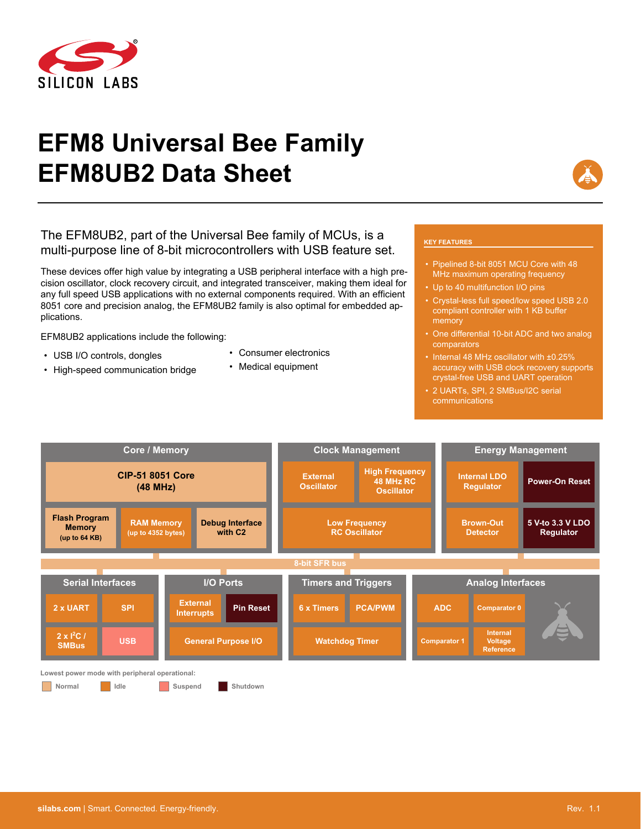

# **EFM8 Universal Bee Family EFM8UB2 Data Sheet**

# The EFM8UB2, part of the Universal Bee family of MCUs, is a multi-purpose line of 8-bit microcontrollers with USB feature set.

These devices offer high value by integrating a USB peripheral interface with a high precision oscillator, clock recovery circuit, and integrated transceiver, making them ideal for any full speed USB applications with no external components required. With an efficient 8051 core and precision analog, the EFM8UB2 family is also optimal for embedded applications.

EFM8UB2 applications include the following:

- USB I/O controls, dongles
- High-speed communication bridge
- Consumer electronics
- Medical equipment

#### **KEY FEATURES**

- Pipelined 8-bit 8051 MCU Core with 48 MHz maximum operating frequency
- Up to 40 multifunction I/O pins
- Crystal-less full speed/low speed USB 2.0 compliant controller with 1 KB buffer memory
- One differential 10-bit ADC and two analog comparators
- Internal 48 MHz oscillator with ±0.25% accuracy with USB clock recovery supports crystal-free USB and UART operation
- 2 UARTs, SPI, 2 SMBus/I2C serial communications

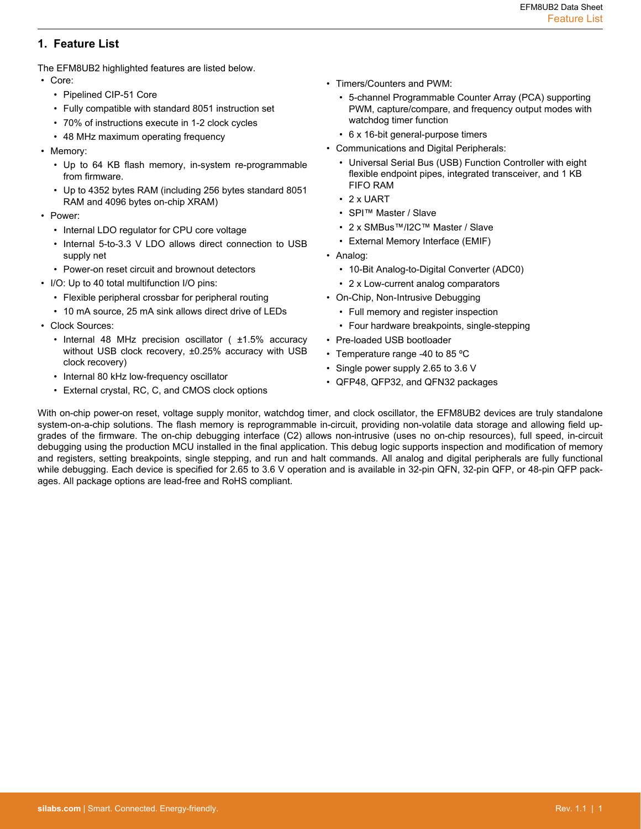# <span id="page-1-0"></span>**1. Feature List**

The EFM8UB2 highlighted features are listed below.

- Core:
	- Pipelined CIP-51 Core
	- Fully compatible with standard 8051 instruction set
	- 70% of instructions execute in 1-2 clock cycles
	- 48 MHz maximum operating frequency
- Memory:
	- Up to 64 KB flash memory, in-system re-programmable from firmware.
	- Up to 4352 bytes RAM (including 256 bytes standard 8051 RAM and 4096 bytes on-chip XRAM)
- Power:
	- Internal LDO regulator for CPU core voltage
	- Internal 5-to-3.3 V LDO allows direct connection to USB supply net
	- Power-on reset circuit and brownout detectors
- I/O: Up to 40 total multifunction I/O pins:
	- Flexible peripheral crossbar for peripheral routing
	- 10 mA source, 25 mA sink allows direct drive of LEDs
- Clock Sources:
	- Internal 48 MHz precision oscillator ( ±1.5% accuracy without USB clock recovery, ±0.25% accuracy with USB clock recovery)
	- Internal 80 kHz low-frequency oscillator
	- External crystal, RC, C, and CMOS clock options
- Timers/Counters and PWM:
	- 5-channel Programmable Counter Array (PCA) supporting PWM, capture/compare, and frequency output modes with watchdog timer function
	- 6 x 16-bit general-purpose timers
- Communications and Digital Peripherals:
	- Universal Serial Bus (USB) Function Controller with eight flexible endpoint pipes, integrated transceiver, and 1 KB FIFO RAM
	- 2 x UART
	- SPI™ Master / Slave
	- 2 x SMBus™/I2C™ Master / Slave
	- External Memory Interface (EMIF)
- Analog:
	- 10-Bit Analog-to-Digital Converter (ADC0)
	- 2 x Low-current analog comparators
- On-Chip, Non-Intrusive Debugging
	- Full memory and register inspection
	- Four hardware breakpoints, single-stepping
- Pre-loaded USB bootloader
- Temperature range -40 to 85 °C
- Single power supply 2.65 to 3.6 V
- QFP48, QFP32, and QFN32 packages

With on-chip power-on reset, voltage supply monitor, watchdog timer, and clock oscillator, the EFM8UB2 devices are truly standalone system-on-a-chip solutions. The flash memory is reprogrammable in-circuit, providing non-volatile data storage and allowing field upgrades of the firmware. The on-chip debugging interface (C2) allows non-intrusive (uses no on-chip resources), full speed, in-circuit debugging using the production MCU installed in the final application. This debug logic supports inspection and modification of memory and registers, setting breakpoints, single stepping, and run and halt commands. All analog and digital peripherals are fully functional while debugging. Each device is specified for 2.65 to 3.6 V operation and is available in 32-pin QFN, 32-pin QFP, or 48-pin QFP packages. All package options are lead-free and RoHS compliant.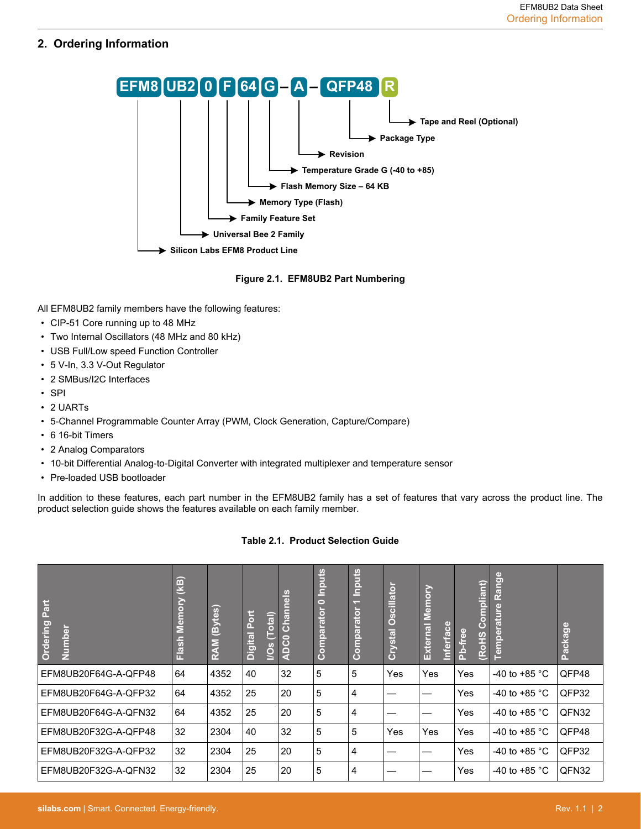# <span id="page-2-0"></span>**2. Ordering Information**



## **Figure 2.1. EFM8UB2 Part Numbering**

All EFM8UB2 family members have the following features:

- CIP-51 Core running up to 48 MHz
- Two Internal Oscillators (48 MHz and 80 kHz)
- USB Full/Low speed Function Controller
- 5 V-In, 3.3 V-Out Regulator
- 2 SMBus/I2C Interfaces
- SPI
- 2 UARTs
- 5-Channel Programmable Counter Array (PWM, Clock Generation, Capture/Compare)
- 6 16-bit Timers
- 2 Analog Comparators
- 10-bit Differential Analog-to-Digital Converter with integrated multiplexer and temperature sensor
- Pre-loaded USB bootloader

In addition to these features, each part number in the EFM8UB2 family has a set of features that vary across the product line. The product selection guide shows the features available on each family member.

# **Table 2.1. Product Selection Guide**

| <b>Ordering Part</b><br>Number | (kB)<br>Ğ<br>$\overline{\mathbf{a}}$<br>Flash | (Bytes)<br><b>RAM</b> | Port<br>(Tota)<br><b>Digital</b><br><u>ios</u> | $\frac{8}{9}$<br>Channe<br>ငြ<br>$\overline{a}$ | Inputs<br>$\bullet$<br>Comparator | Inputs<br>Comparator | <b>Oscillator</b><br>Crystal | Memory<br>Inferface<br>External | Compliant)<br>Pb-free<br>RoHS | Range<br>erature<br>Tempe | Package |
|--------------------------------|-----------------------------------------------|-----------------------|------------------------------------------------|-------------------------------------------------|-----------------------------------|----------------------|------------------------------|---------------------------------|-------------------------------|---------------------------|---------|
| EFM8UB20F64G-A-QFP48           | 64                                            | 4352                  | 40                                             | 32                                              | 5                                 | 5                    | Yes                          | Yes                             | Yes                           | -40 to +85 $^{\circ}$ C   | QFP48   |
| EFM8UB20F64G-A-QFP32           | 64                                            | 4352                  | 25                                             | 20                                              | 5                                 | 4                    |                              |                                 | Yes                           | -40 to +85 $^{\circ}$ C   | QFP32   |
| EFM8UB20F64G-A-QFN32           | 64                                            | 4352                  | 25                                             | 20                                              | 5                                 | 4                    |                              |                                 | Yes                           | -40 to +85 $^{\circ}$ C   | QFN32   |
| EFM8UB20F32G-A-QFP48           | 32                                            | 2304                  | 40                                             | 32                                              | 5                                 | 5                    | Yes                          | Yes                             | Yes                           | -40 to +85 $^{\circ}$ C   | QFP48   |
| EFM8UB20F32G-A-QFP32           | 32                                            | 2304                  | 25                                             | 20                                              | 5                                 | 4                    |                              |                                 | Yes                           | -40 to +85 $^{\circ}$ C   | QFP32   |
| EFM8UB20F32G-A-QFN32           | 32                                            | 2304                  | 25                                             | 20                                              | 5                                 | 4                    |                              |                                 | Yes                           | -40 to +85 $^{\circ}$ C   | QFN32   |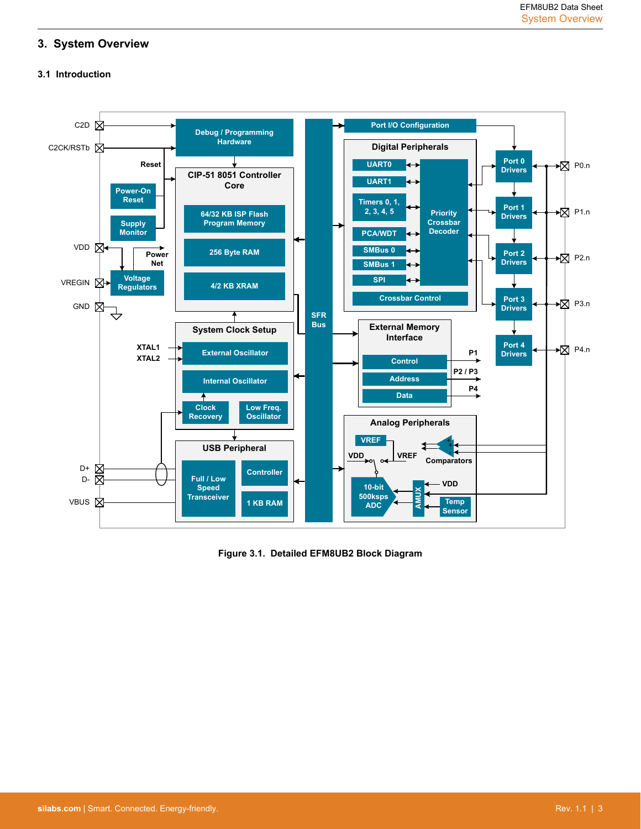# <span id="page-3-0"></span>**3. System Overview**

# **3.1 Introduction**



**Figure 3.1. Detailed EFM8UB2 Block Diagram**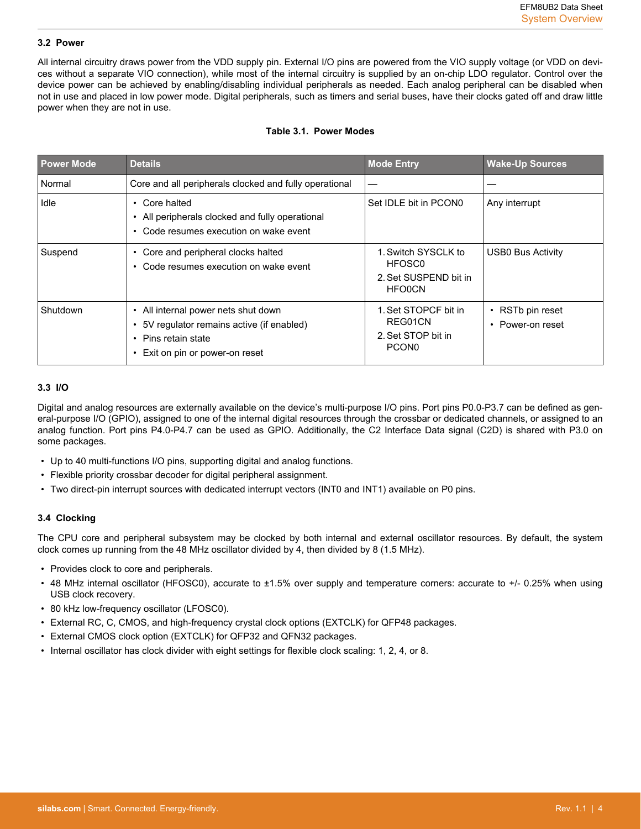#### <span id="page-4-0"></span>**3.2 Power**

All internal circuitry draws power from the VDD supply pin. External I/O pins are powered from the VIO supply voltage (or VDD on devices without a separate VIO connection), while most of the internal circuitry is supplied by an on-chip LDO regulator. Control over the device power can be achieved by enabling/disabling individual peripherals as needed. Each analog peripheral can be disabled when not in use and placed in low power mode. Digital peripherals, such as timers and serial buses, have their clocks gated off and draw little power when they are not in use.

#### **Table 3.1. Power Modes**

| <b>Power Mode</b> | <b>Details</b>                                                                                                                          | <b>Mode Entry</b>                                                                   | <b>Wake-Up Sources</b>                     |
|-------------------|-----------------------------------------------------------------------------------------------------------------------------------------|-------------------------------------------------------------------------------------|--------------------------------------------|
| Normal            | Core and all peripherals clocked and fully operational                                                                                  |                                                                                     |                                            |
| Idle              | Core halted<br>$\bullet$<br>All peripherals clocked and fully operational<br>Code resumes execution on wake event                       | Set IDLE bit in PCON0                                                               | Any interrupt                              |
| Suspend           | Core and peripheral clocks halted<br>$\bullet$<br>Code resumes execution on wake event                                                  | 1. Switch SYSCLK to<br>HFOSC <sub>0</sub><br>2. Set SUSPEND bit in<br><b>HFO0CN</b> | USB0 Bus Activity                          |
| Shutdown          | • All internal power nets shut down<br>5V regulator remains active (if enabled)<br>• Pins retain state<br>Exit on pin or power-on reset | 1. Set STOPCF bit in<br>REG01CN<br>2. Set STOP bit in<br>PCON <sub>0</sub>          | $\cdot$ RSTb pin reset<br>• Power-on reset |

#### **3.3 I/O**

Digital and analog resources are externally available on the device's multi-purpose I/O pins. Port pins P0.0-P3.7 can be defined as general-purpose I/O (GPIO), assigned to one of the internal digital resources through the crossbar or dedicated channels, or assigned to an analog function. Port pins P4.0-P4.7 can be used as GPIO. Additionally, the C2 Interface Data signal (C2D) is shared with P3.0 on some packages.

- Up to 40 multi-functions I/O pins, supporting digital and analog functions.
- Flexible priority crossbar decoder for digital peripheral assignment.
- Two direct-pin interrupt sources with dedicated interrupt vectors (INT0 and INT1) available on P0 pins.

#### **3.4 Clocking**

The CPU core and peripheral subsystem may be clocked by both internal and external oscillator resources. By default, the system clock comes up running from the 48 MHz oscillator divided by 4, then divided by 8 (1.5 MHz).

- Provides clock to core and peripherals.
- 48 MHz internal oscillator (HFOSC0), accurate to ±1.5% over supply and temperature corners: accurate to +/- 0.25% when using USB clock recovery.
- 80 kHz low-frequency oscillator (LFOSC0).
- External RC, C, CMOS, and high-frequency crystal clock options (EXTCLK) for QFP48 packages.
- External CMOS clock option (EXTCLK) for QFP32 and QFN32 packages.
- Internal oscillator has clock divider with eight settings for flexible clock scaling: 1, 2, 4, or 8.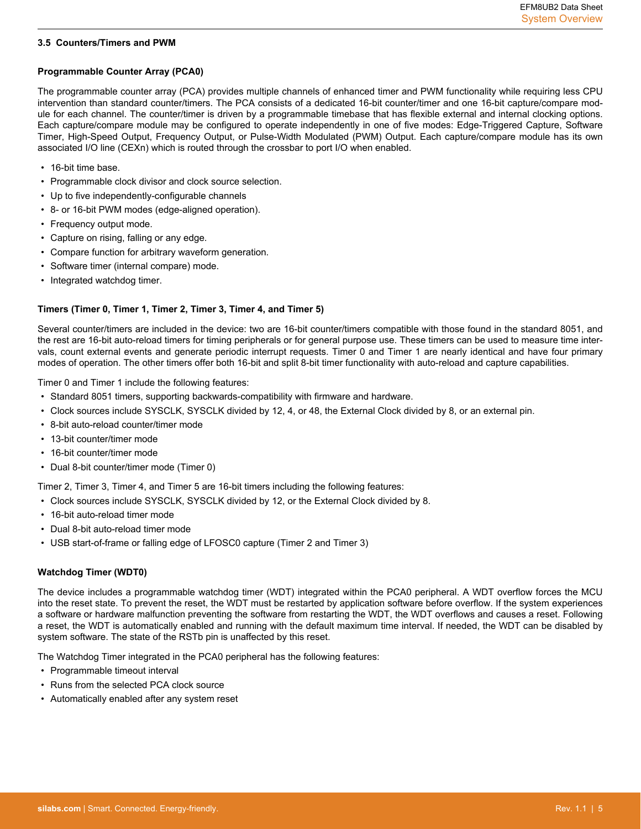# <span id="page-5-0"></span>**3.5 Counters/Timers and PWM**

# **Programmable Counter Array (PCA0)**

The programmable counter array (PCA) provides multiple channels of enhanced timer and PWM functionality while requiring less CPU intervention than standard counter/timers. The PCA consists of a dedicated 16-bit counter/timer and one 16-bit capture/compare module for each channel. The counter/timer is driven by a programmable timebase that has flexible external and internal clocking options. Each capture/compare module may be configured to operate independently in one of five modes: Edge-Triggered Capture, Software Timer, High-Speed Output, Frequency Output, or Pulse-Width Modulated (PWM) Output. Each capture/compare module has its own associated I/O line (CEXn) which is routed through the crossbar to port I/O when enabled.

- 16-bit time base.
- Programmable clock divisor and clock source selection.
- Up to five independently-configurable channels
- 8- or 16-bit PWM modes (edge-aligned operation).
- Frequency output mode.
- Capture on rising, falling or any edge.
- Compare function for arbitrary waveform generation.
- Software timer (internal compare) mode.
- Integrated watchdog timer.

## **Timers (Timer 0, Timer 1, Timer 2, Timer 3, Timer 4, and Timer 5)**

Several counter/timers are included in the device: two are 16-bit counter/timers compatible with those found in the standard 8051, and the rest are 16-bit auto-reload timers for timing peripherals or for general purpose use. These timers can be used to measure time intervals, count external events and generate periodic interrupt requests. Timer 0 and Timer 1 are nearly identical and have four primary modes of operation. The other timers offer both 16-bit and split 8-bit timer functionality with auto-reload and capture capabilities.

Timer 0 and Timer 1 include the following features:

- Standard 8051 timers, supporting backwards-compatibility with firmware and hardware.
- Clock sources include SYSCLK, SYSCLK divided by 12, 4, or 48, the External Clock divided by 8, or an external pin.
- 8-bit auto-reload counter/timer mode
- 13-bit counter/timer mode
- 16-bit counter/timer mode
- Dual 8-bit counter/timer mode (Timer 0)

Timer 2, Timer 3, Timer 4, and Timer 5 are 16-bit timers including the following features:

- Clock sources include SYSCLK, SYSCLK divided by 12, or the External Clock divided by 8.
- 16-bit auto-reload timer mode
- Dual 8-bit auto-reload timer mode
- USB start-of-frame or falling edge of LFOSC0 capture (Timer 2 and Timer 3)

# **Watchdog Timer (WDT0)**

The device includes a programmable watchdog timer (WDT) integrated within the PCA0 peripheral. A WDT overflow forces the MCU into the reset state. To prevent the reset, the WDT must be restarted by application software before overflow. If the system experiences a software or hardware malfunction preventing the software from restarting the WDT, the WDT overflows and causes a reset. Following a reset, the WDT is automatically enabled and running with the default maximum time interval. If needed, the WDT can be disabled by system software. The state of the RSTb pin is unaffected by this reset.

The Watchdog Timer integrated in the PCA0 peripheral has the following features:

- Programmable timeout interval
- Runs from the selected PCA clock source
- Automatically enabled after any system reset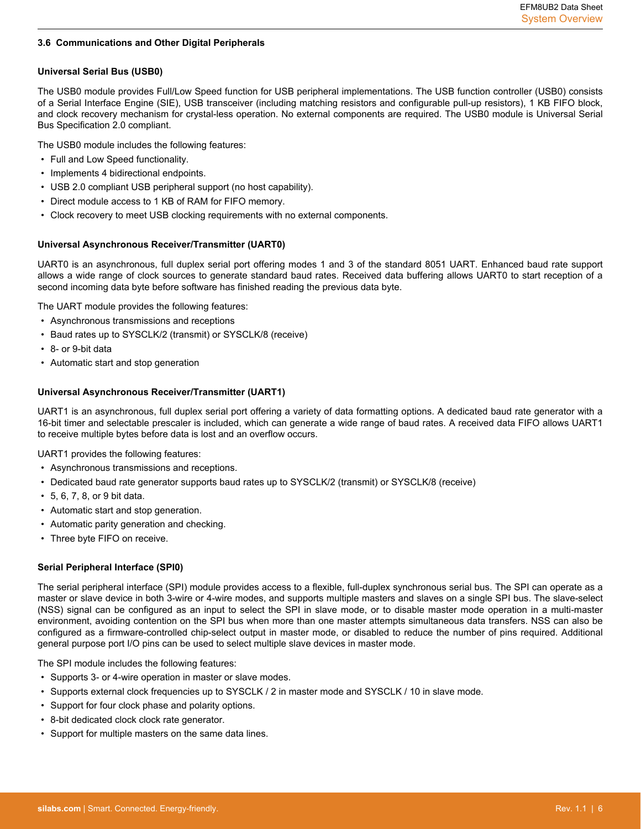#### <span id="page-6-0"></span>**3.6 Communications and Other Digital Peripherals**

## **Universal Serial Bus (USB0)**

The USB0 module provides Full/Low Speed function for USB peripheral implementations. The USB function controller (USB0) consists of a Serial Interface Engine (SIE), USB transceiver (including matching resistors and configurable pull-up resistors), 1 KB FIFO block, and clock recovery mechanism for crystal-less operation. No external components are required. The USB0 module is Universal Serial Bus Specification 2.0 compliant.

The USB0 module includes the following features:

- Full and Low Speed functionality.
- Implements 4 bidirectional endpoints.
- USB 2.0 compliant USB peripheral support (no host capability).
- Direct module access to 1 KB of RAM for FIFO memory.
- Clock recovery to meet USB clocking requirements with no external components.

## **Universal Asynchronous Receiver/Transmitter (UART0)**

UART0 is an asynchronous, full duplex serial port offering modes 1 and 3 of the standard 8051 UART. Enhanced baud rate support allows a wide range of clock sources to generate standard baud rates. Received data buffering allows UART0 to start reception of a second incoming data byte before software has finished reading the previous data byte.

The UART module provides the following features:

- Asynchronous transmissions and receptions
- Baud rates up to SYSCLK/2 (transmit) or SYSCLK/8 (receive)
- 8- or 9-bit data
- Automatic start and stop generation

#### **Universal Asynchronous Receiver/Transmitter (UART1)**

UART1 is an asynchronous, full duplex serial port offering a variety of data formatting options. A dedicated baud rate generator with a 16-bit timer and selectable prescaler is included, which can generate a wide range of baud rates. A received data FIFO allows UART1 to receive multiple bytes before data is lost and an overflow occurs.

UART1 provides the following features:

- Asynchronous transmissions and receptions.
- Dedicated baud rate generator supports baud rates up to SYSCLK/2 (transmit) or SYSCLK/8 (receive)
- 5, 6, 7, 8, or 9 bit data.
- Automatic start and stop generation.
- Automatic parity generation and checking.
- Three byte FIFO on receive.

#### **Serial Peripheral Interface (SPI0)**

The serial peripheral interface (SPI) module provides access to a flexible, full-duplex synchronous serial bus. The SPI can operate as a master or slave device in both 3-wire or 4-wire modes, and supports multiple masters and slaves on a single SPI bus. The slave-select (NSS) signal can be configured as an input to select the SPI in slave mode, or to disable master mode operation in a multi-master environment, avoiding contention on the SPI bus when more than one master attempts simultaneous data transfers. NSS can also be configured as a firmware-controlled chip-select output in master mode, or disabled to reduce the number of pins required. Additional general purpose port I/O pins can be used to select multiple slave devices in master mode.

The SPI module includes the following features:

- Supports 3- or 4-wire operation in master or slave modes.
- Supports external clock frequencies up to SYSCLK / 2 in master mode and SYSCLK / 10 in slave mode.
- Support for four clock phase and polarity options.
- 8-bit dedicated clock clock rate generator.
- Support for multiple masters on the same data lines.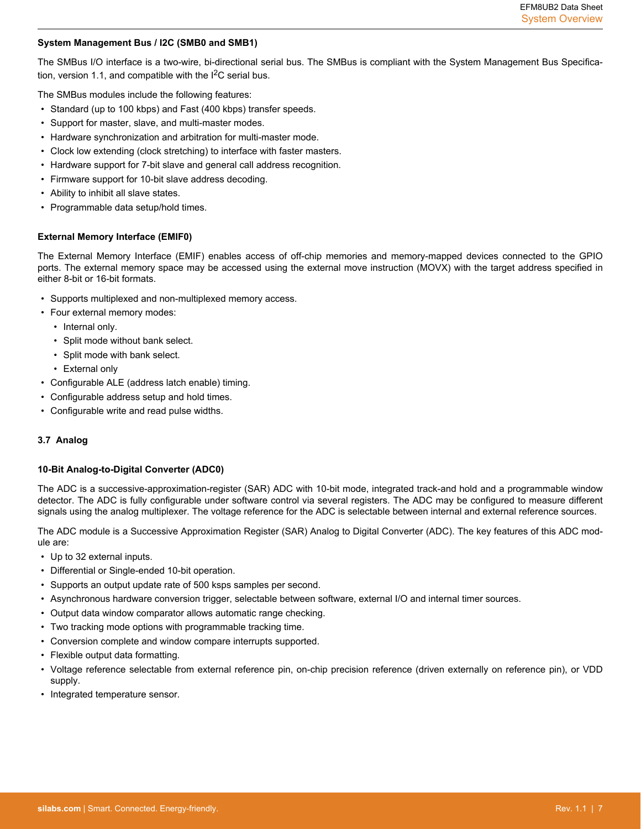#### <span id="page-7-0"></span>**System Management Bus / I2C (SMB0 and SMB1)**

The SMBus I/O interface is a two-wire, bi-directional serial bus. The SMBus is compliant with the System Management Bus Specification, version 1.1, and compatible with the  $I^2C$  serial bus.

The SMBus modules include the following features:

- Standard (up to 100 kbps) and Fast (400 kbps) transfer speeds.
- Support for master, slave, and multi-master modes.
- Hardware synchronization and arbitration for multi-master mode.
- Clock low extending (clock stretching) to interface with faster masters.
- Hardware support for 7-bit slave and general call address recognition.
- Firmware support for 10-bit slave address decoding.
- Ability to inhibit all slave states.
- Programmable data setup/hold times.

#### **External Memory Interface (EMIF0)**

The External Memory Interface (EMIF) enables access of off-chip memories and memory-mapped devices connected to the GPIO ports. The external memory space may be accessed using the external move instruction (MOVX) with the target address specified in either 8-bit or 16-bit formats.

- Supports multiplexed and non-multiplexed memory access.
- Four external memory modes:
	- Internal only.
	- Split mode without bank select.
	- Split mode with bank select.
	- External only
- Configurable ALE (address latch enable) timing.
- Configurable address setup and hold times.
- Configurable write and read pulse widths.

#### **3.7 Analog**

#### **10-Bit Analog-to-Digital Converter (ADC0)**

The ADC is a successive-approximation-register (SAR) ADC with 10-bit mode, integrated track-and hold and a programmable window detector. The ADC is fully configurable under software control via several registers. The ADC may be configured to measure different signals using the analog multiplexer. The voltage reference for the ADC is selectable between internal and external reference sources.

The ADC module is a Successive Approximation Register (SAR) Analog to Digital Converter (ADC). The key features of this ADC module are:

- Up to 32 external inputs.
- Differential or Single-ended 10-bit operation.
- Supports an output update rate of 500 ksps samples per second.
- Asynchronous hardware conversion trigger, selectable between software, external I/O and internal timer sources.
- Output data window comparator allows automatic range checking.
- Two tracking mode options with programmable tracking time.
- Conversion complete and window compare interrupts supported.
- Flexible output data formatting.
- Voltage reference selectable from external reference pin, on-chip precision reference (driven externally on reference pin), or VDD supply.
- Integrated temperature sensor.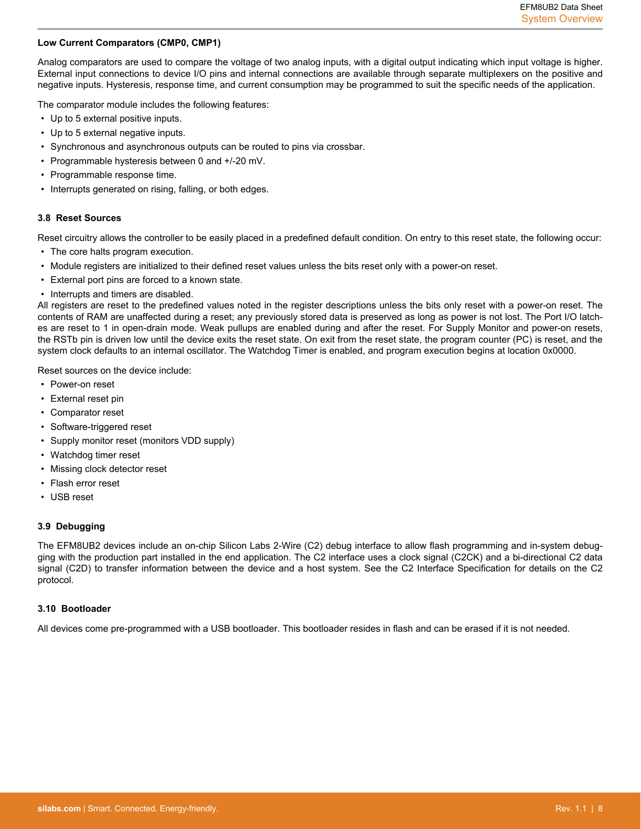# <span id="page-8-0"></span>**Low Current Comparators (CMP0, CMP1)**

Analog comparators are used to compare the voltage of two analog inputs, with a digital output indicating which input voltage is higher. External input connections to device I/O pins and internal connections are available through separate multiplexers on the positive and negative inputs. Hysteresis, response time, and current consumption may be programmed to suit the specific needs of the application.

The comparator module includes the following features:

- Up to 5 external positive inputs.
- Up to 5 external negative inputs.
- Synchronous and asynchronous outputs can be routed to pins via crossbar.
- Programmable hysteresis between 0 and +/-20 mV.
- Programmable response time.
- Interrupts generated on rising, falling, or both edges.

#### **3.8 Reset Sources**

Reset circuitry allows the controller to be easily placed in a predefined default condition. On entry to this reset state, the following occur:

- The core halts program execution.
- Module registers are initialized to their defined reset values unless the bits reset only with a power-on reset.
- External port pins are forced to a known state.
- Interrupts and timers are disabled.

All registers are reset to the predefined values noted in the register descriptions unless the bits only reset with a power-on reset. The contents of RAM are unaffected during a reset; any previously stored data is preserved as long as power is not lost. The Port I/O latches are reset to 1 in open-drain mode. Weak pullups are enabled during and after the reset. For Supply Monitor and power-on resets, the RSTb pin is driven low until the device exits the reset state. On exit from the reset state, the program counter (PC) is reset, and the system clock defaults to an internal oscillator. The Watchdog Timer is enabled, and program execution begins at location 0x0000.

Reset sources on the device include:

- Power-on reset
- External reset pin
- Comparator reset
- Software-triggered reset
- Supply monitor reset (monitors VDD supply)
- Watchdog timer reset
- Missing clock detector reset
- Flash error reset
- USB reset

#### **3.9 Debugging**

The EFM8UB2 devices include an on-chip Silicon Labs 2-Wire (C2) debug interface to allow flash programming and in-system debugging with the production part installed in the end application. The C2 interface uses a clock signal (C2CK) and a bi-directional C2 data signal (C2D) to transfer information between the device and a host system. See the C2 Interface Specification for details on the C2 protocol.

#### **3.10 Bootloader**

All devices come pre-programmed with a USB bootloader. This bootloader resides in flash and can be erased if it is not needed.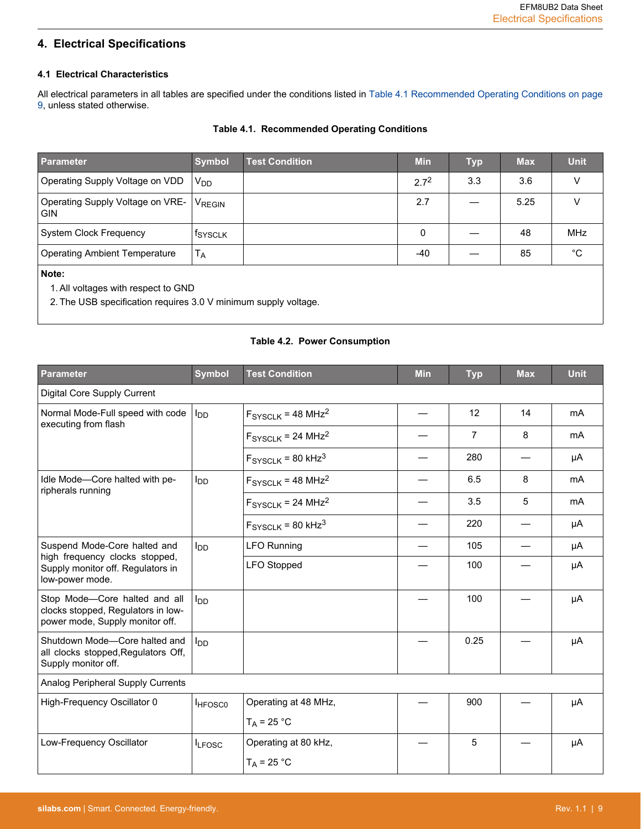# <span id="page-9-0"></span>**4. Electrical Specifications**

# **4.1 Electrical Characteristics**

All electrical parameters in all tables are specified under the conditions listed in Table 4.1 Recommended Operating Conditions on page 9, unless stated otherwise.

# **Table 4.1. Recommended Operating Conditions**

| <b>Parameter</b>                               | <b>Symbol</b>         | <b>Test Condition</b> | <b>Min</b> | <b>Typ</b> | <b>Max</b> | <b>Unit</b>  |
|------------------------------------------------|-----------------------|-----------------------|------------|------------|------------|--------------|
| Operating Supply Voltage on VDD                | <b>V<sub>DD</sub></b> |                       | $2.7^{2}$  | 3.3        | 3.6        | v            |
| Operating Supply Voltage on VRE-<br><b>GIN</b> | VREGIN                |                       | 2.7        |            | 5.25       | v            |
| <b>System Clock Frequency</b>                  | <sup>f</sup> SYSCLK   |                       | 0          |            | 48         | <b>MHz</b>   |
| <b>Operating Ambient Temperature</b>           | $T_A$                 |                       | $-40$      |            | 85         | $^{\circ}$ C |
| Note:<br>1. All voltages with respect to GND   |                       |                       |            |            |            |              |

2. The USB specification requires 3.0 V minimum supply voltage.

# **Table 4.2. Power Consumption**

| <b>Parameter</b>                                                                                                       | <b>Symbol</b>   | <b>Test Condition</b> | <b>Min</b> | <b>Typ</b>     | <b>Max</b> | <b>Unit</b> |
|------------------------------------------------------------------------------------------------------------------------|-----------------|-----------------------|------------|----------------|------------|-------------|
| Digital Core Supply Current                                                                                            |                 |                       |            |                |            |             |
| Normal Mode-Full speed with code<br>executing from flash                                                               | l <sub>DD</sub> | $FSYSCLK = 48 MHz2$   |            | 12             | 14         | mA          |
|                                                                                                                        |                 | $FSYSCLK = 24 MHz2$   |            | $\overline{7}$ | 8          | mA          |
|                                                                                                                        |                 | $FSYSCLK = 80 kHz3$   |            | 280            |            | μA          |
| Idle Mode-Core halted with pe-<br>ripherals running                                                                    | l <sub>DD</sub> | $FSYSCLK = 48 MHz2$   |            | 6.5            | 8          | mA          |
|                                                                                                                        |                 | $FSYSCLK = 24 MHz2$   |            | 3.5            | 5          | mA          |
|                                                                                                                        |                 | $FSYSCLK = 80 kHz3$   |            | 220            |            | μA          |
| Suspend Mode-Core halted and<br>high frequency clocks stopped,<br>Supply monitor off. Regulators in<br>low-power mode. | lnn.            | <b>LFO Running</b>    |            | 105            |            | μA          |
|                                                                                                                        |                 | <b>LFO Stopped</b>    |            | 100            |            | μA          |
| Stop Mode-Core halted and all<br>clocks stopped, Regulators in low-<br>power mode, Supply monitor off.                 | lnn.            |                       |            | 100            |            | μA          |
| Shutdown Mode-Core halted and<br>all clocks stopped, Regulators Off,<br>Supply monitor off.                            | $I_{DD}$        |                       |            | 0.25           |            | μA          |
| Analog Peripheral Supply Currents                                                                                      |                 |                       |            |                |            |             |
| High-Frequency Oscillator 0                                                                                            | <b>HFOSCO</b>   | Operating at 48 MHz,  |            | 900            |            | μA          |
|                                                                                                                        |                 | $T_A$ = 25 °C         |            |                |            |             |
| Low-Frequency Oscillator                                                                                               | <b>LFOSC</b>    | Operating at 80 kHz,  |            | 5              |            | μA          |
|                                                                                                                        |                 | $T_A = 25 °C$         |            |                |            |             |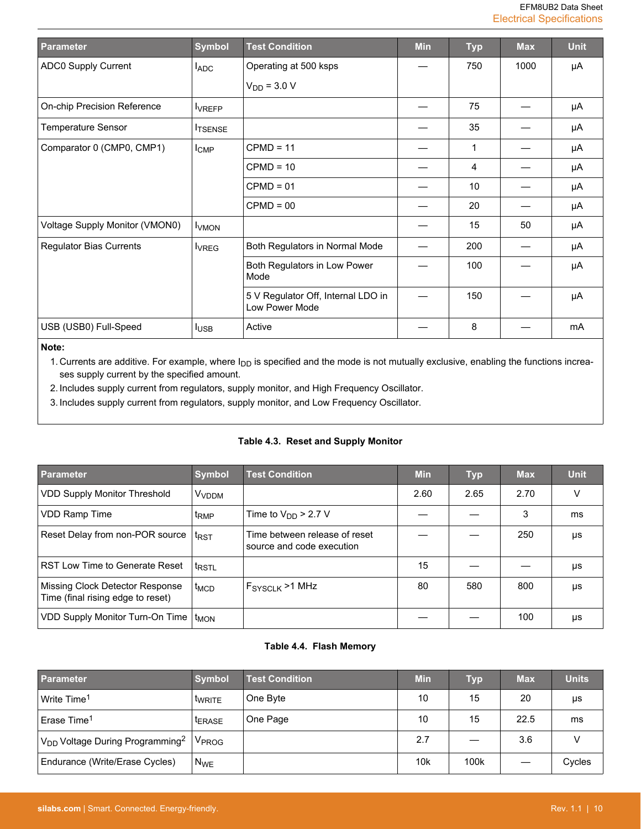<span id="page-10-0"></span>

| Parameter                      | <b>Symbol</b>    | <b>Test Condition</b>                                | <b>Min</b> | <b>Typ</b> | <b>Max</b> | <b>Unit</b> |
|--------------------------------|------------------|------------------------------------------------------|------------|------------|------------|-------------|
| ADC0 Supply Current            | <b>LADC</b>      | Operating at 500 ksps                                |            | 750        | 1000       | μA          |
|                                |                  | $V_{DD}$ = 3.0 V                                     |            |            |            |             |
| On-chip Precision Reference    | <b>VREFP</b>     |                                                      |            | 75         |            | μA          |
| <b>Temperature Sensor</b>      | <b>ITSENSE</b>   |                                                      |            | 35         |            | μA          |
| Comparator 0 (CMP0, CMP1)      | $I_{\text{CMP}}$ | $CPMD = 11$                                          |            | 1          |            | μA          |
|                                |                  | $CPMD = 10$                                          |            | 4          |            | μA          |
|                                |                  | $CPMD = 01$                                          |            | 10         |            | μA          |
|                                |                  | $CPMD = 00$                                          |            | 20         |            | μA          |
| Voltage Supply Monitor (VMON0) | <b>VMON</b>      |                                                      |            | 15         | 50         | μA          |
| <b>Regulator Bias Currents</b> | <b>I</b> VREG    | Both Regulators in Normal Mode                       |            | 200        |            | μA          |
|                                |                  | Both Regulators in Low Power<br>Mode                 |            | 100        |            | μA          |
|                                |                  | 5 V Regulator Off, Internal LDO in<br>Low Power Mode |            | 150        |            | μA          |
| USB (USB0) Full-Speed          | $I_{USE}$        | Active                                               |            | 8          |            | mA          |

# **Note:**

1. Currents are additive. For example, where  $I_{DD}$  is specified and the mode is not mutually exclusive, enabling the functions increases supply current by the specified amount.

2. Includes supply current from regulators, supply monitor, and High Frequency Oscillator.

3. Includes supply current from regulators, supply monitor, and Low Frequency Oscillator.

## **Table 4.3. Reset and Supply Monitor**

| <b>Parameter</b>                                                     | <b>Symbol</b>           | <b>Test Condition</b>                                      | <b>Min</b> | <b>Typ</b> | <b>Max</b> | <b>Unit</b> |
|----------------------------------------------------------------------|-------------------------|------------------------------------------------------------|------------|------------|------------|-------------|
| <b>VDD Supply Monitor Threshold</b>                                  | <b>V<sub>VDDM</sub></b> |                                                            | 2.60       | 2.65       | 2.70       |             |
| <b>VDD Ramp Time</b>                                                 | t <sub>RMP</sub>        | Time to $V_{DD}$ > 2.7 V                                   |            |            | 3          | ms          |
| Reset Delay from non-POR source                                      | t <sub>RST</sub>        | Time between release of reset<br>source and code execution |            |            | 250        | μs          |
| RST Low Time to Generate Reset                                       | t <sub>RSTL</sub>       |                                                            | 15         |            |            | μs          |
| Missing Clock Detector Response<br>Time (final rising edge to reset) | t <sub>MCD</sub>        | $FSYSCI K$ >1 MHz                                          | 80         | 580        | 800        | μs          |
| VDD Supply Monitor Turn-On Time                                      | t <sub>MON</sub>        |                                                            |            |            | 100        | μs          |

# **Table 4.4. Flash Memory**

| <b>Parameter</b>                                        | <b>Symbol</b>     | <b>Test Condition</b> | <b>Min</b>      | <b>Typ</b> | <b>Max</b> | <b>Units</b> |
|---------------------------------------------------------|-------------------|-----------------------|-----------------|------------|------------|--------------|
| $\,$ Write Time $^1$                                    | <b>WRITE</b>      | One Byte              | 10              | 15         | 20         | μs           |
| ' Erase Time <sup>1</sup>                               | <b>LERASE</b>     | One Page              | 10              | 15         | 22.5       | ms           |
| V <sub>DD</sub> Voltage During Programming <sup>2</sup> | V <sub>PROG</sub> |                       | 2.7             |            | 3.6        | v            |
| Endurance (Write/Erase Cycles)                          | $N_{WE}$          |                       | 10 <sub>k</sub> | 100k       |            | Cycles       |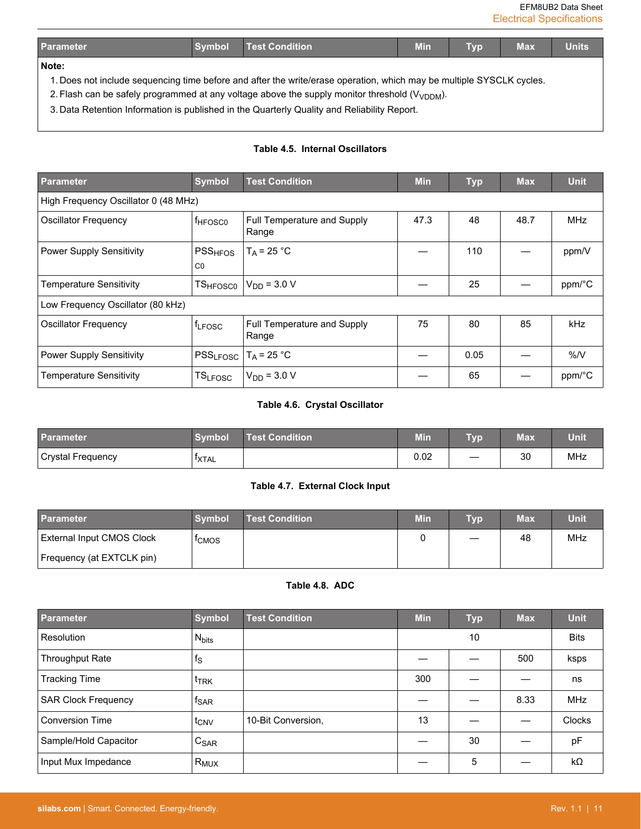EFM8UB2 Data Sheet Electrical Specifications

<span id="page-11-0"></span>

| <b>Parameter</b>                                                                                                     | <b>Symbol</b> | <b>Test Condition</b>                                                                              | <b>Min</b> | Typ | <b>Max</b> | <b>Units</b> |  |  |
|----------------------------------------------------------------------------------------------------------------------|---------------|----------------------------------------------------------------------------------------------------|------------|-----|------------|--------------|--|--|
| Note:                                                                                                                |               |                                                                                                    |            |     |            |              |  |  |
| 1. Does not include sequencing time before and after the write/erase operation, which may be multiple SYSCLK cycles. |               |                                                                                                    |            |     |            |              |  |  |
|                                                                                                                      |               | 2. Flash can be safely programmed at any voltage above the supply monitor threshold $(V_{VDDM})$ . |            |     |            |              |  |  |
|                                                                                                                      |               | 3. Data Retention Information is published in the Quarterly Quality and Reliability Report.        |            |     |            |              |  |  |

# **Table 4.5. Internal Oscillators**

| <b>Parameter</b>                     | <b>Symbol</b>                         | <b>Test Condition</b>                | <b>Min</b> | <b>Typ</b> | <b>Max</b> | <b>Unit</b> |
|--------------------------------------|---------------------------------------|--------------------------------------|------------|------------|------------|-------------|
| High Frequency Oscillator 0 (48 MHz) |                                       |                                      |            |            |            |             |
| Oscillator Frequency                 | <b>fHFOSCO</b>                        | Full Temperature and Supply<br>Range | 47.3       | 48         | 48.7       | <b>MHz</b>  |
| <b>Power Supply Sensitivity</b>      | PSS <sub>HFOS</sub><br>C <sub>0</sub> | $T_A = 25 °C$                        |            | 110        |            | ppm/V       |
| <b>Temperature Sensitivity</b>       | <b>TSHFOSC0</b>                       | $V_{DD} = 3.0 V$                     |            | 25         |            | ppm/°C      |
| Low Frequency Oscillator (80 kHz)    |                                       |                                      |            |            |            |             |
| <b>Oscillator Frequency</b>          | f <sub>LFOSC</sub>                    | Full Temperature and Supply<br>Range | 75         | 80         | 85         | kHz         |
| <b>Power Supply Sensitivity</b>      | PSS <sub>LFOSC</sub>                  | $T_A = 25 °C$                        |            | 0.05       |            | %N          |
| <b>Temperature Sensitivity</b>       | <b>TSLFOSC</b>                        | $V_{DD}$ = 3.0 V                     |            | 65         |            | ppm/°C      |

# **Table 4.6. Crystal Oscillator**

| <b>Parameter</b>  | <b>Symbol</b>       | Test Condition | <b>Min</b> | Tvr | <b>Max</b> | Unit |
|-------------------|---------------------|----------------|------------|-----|------------|------|
| Crystal Frequency | ' <sup>T</sup> XTAL |                | 0.02       |     | 30         | MHz  |

# **Table 4.7. External Clock Input**

| <b>Parameter</b>                 | <b>Symbol</b>     | <b>Test Condition</b> | <b>Min</b> | Typ               | Max | Unit |
|----------------------------------|-------------------|-----------------------|------------|-------------------|-----|------|
| <b>External Input CMOS Clock</b> | <sup>I</sup> CMOS |                       |            | $\hspace{0.05cm}$ | 48  | MHz  |
| Frequency (at EXTCLK pin)        |                   |                       |            |                   |     |      |

## **Table 4.8. ADC**

| <b>Parameter</b>           | <b>Symbol</b>            | <b>Test Condition</b> | <b>Min</b> | <b>Typ</b> | <b>Max</b> | <b>Unit</b> |
|----------------------------|--------------------------|-----------------------|------------|------------|------------|-------------|
| Resolution                 | <b>N</b> <sub>bits</sub> |                       |            | 10         |            | <b>Bits</b> |
| <b>Throughput Rate</b>     | $f_{\rm S}$              |                       |            |            | 500        | ksps        |
| <b>Tracking Time</b>       | t <sub>TRK</sub>         |                       | 300        |            |            | ns          |
| <b>SAR Clock Frequency</b> | $f_{\text{SAR}}$         |                       |            |            | 8.33       | <b>MHz</b>  |
| <b>Conversion Time</b>     | t <sub>CNV</sub>         | 10-Bit Conversion,    | 13         |            |            | Clocks      |
| Sample/Hold Capacitor      | $C_{\text{SAR}}$         |                       |            | 30         |            | pF          |
| Input Mux Impedance        | $R_{MUX}$                |                       |            | 5          |            | $k\Omega$   |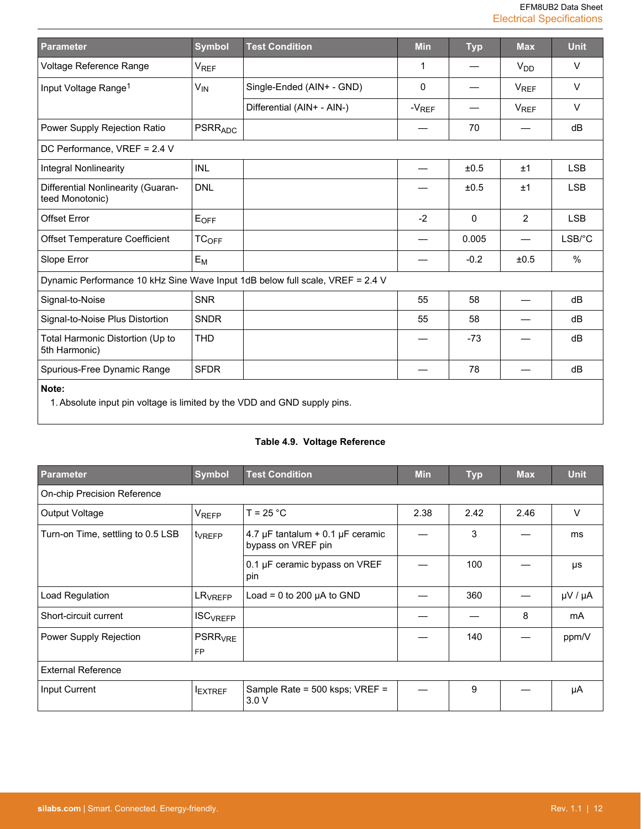| Parameter                                                                         | <b>Symbol</b>         | <b>Test Condition</b>      | <b>Min</b>  | <b>Typ</b> | <b>Max</b>             | <b>Unit</b> |  |
|-----------------------------------------------------------------------------------|-----------------------|----------------------------|-------------|------------|------------------------|-------------|--|
| Voltage Reference Range                                                           | V <sub>REF</sub>      |                            | 1           |            | <b>V<sub>DD</sub></b>  | V           |  |
| Input Voltage Range <sup>1</sup>                                                  | <b>V<sub>IN</sub></b> | Single-Ended (AIN+ - GND)  | $\mathbf 0$ |            | <b>V<sub>REF</sub></b> | $\vee$      |  |
|                                                                                   |                       | Differential (AIN+ - AIN-) | $-V_{REF}$  |            | <b>V<sub>REF</sub></b> | $\vee$      |  |
| Power Supply Rejection Ratio                                                      | <b>PSRRADC</b>        |                            |             | 70         |                        | dB          |  |
| DC Performance, VREF = 2.4 V                                                      |                       |                            |             |            |                        |             |  |
| <b>Integral Nonlinearity</b>                                                      | <b>INL</b>            |                            |             | ±0.5       | ±1                     | <b>LSB</b>  |  |
| Differential Nonlinearity (Guaran-<br>teed Monotonic)                             | <b>DNL</b>            |                            |             | ±0.5       | ±1                     | <b>LSB</b>  |  |
| <b>Offset Error</b>                                                               | EOFF                  |                            | $-2$        | 0          | $\overline{2}$         | <b>LSB</b>  |  |
| <b>Offset Temperature Coefficient</b>                                             | TC <sub>OFF</sub>     |                            |             | 0.005      |                        | $LSB$ $C$   |  |
| Slope Error                                                                       | $E_M$                 |                            |             | $-0.2$     | ±0.5                   | %           |  |
| Dynamic Performance 10 kHz Sine Wave Input 1dB below full scale, VREF = 2.4 V     |                       |                            |             |            |                        |             |  |
| Signal-to-Noise                                                                   | <b>SNR</b>            |                            | 55          | 58         |                        | dB          |  |
| Signal-to-Noise Plus Distortion                                                   | <b>SNDR</b>           |                            | 55          | 58         |                        | dB          |  |
| Total Harmonic Distortion (Up to<br>5th Harmonic)                                 | <b>THD</b>            |                            |             | $-73$      |                        | dB          |  |
| Spurious-Free Dynamic Range                                                       | <b>SFDR</b>           |                            |             | 78         |                        | dB          |  |
| Note:<br>1. Absolute input pin voltage is limited by the VDD and GND supply pins. |                       |                            |             |            |                        |             |  |

# **Table 4.9. Voltage Reference**

| <b>Parameter</b>                   | <b>Symbol</b>                          | <b>Test Condition</b>                                            |      | <b>Typ</b> | <b>Max</b> | <b>Unit</b>       |  |  |  |
|------------------------------------|----------------------------------------|------------------------------------------------------------------|------|------------|------------|-------------------|--|--|--|
| <b>On-chip Precision Reference</b> |                                        |                                                                  |      |            |            |                   |  |  |  |
| Output Voltage                     | <b>VREFP</b>                           | $T = 25 °C$                                                      | 2.38 | 2.42       | 2.46       | $\vee$            |  |  |  |
| Turn-on Time, settling to 0.5 LSB  | t <sub>VREFP</sub>                     | 4.7 $\mu$ F tantalum + 0.1 $\mu$ F ceramic<br>bypass on VREF pin |      | 3          |            | ms                |  |  |  |
|                                    |                                        | 0.1 µF ceramic bypass on VREF<br>pin                             |      | 100        |            | μs                |  |  |  |
| Load Regulation                    | LR <sub>VREFP</sub>                    | Load = 0 to 200 $\mu$ A to GND                                   |      | 360        |            | $\mu$ V / $\mu$ A |  |  |  |
| Short-circuit current              | <b>ISC<sub>VREFP</sub></b>             |                                                                  |      |            | 8          | mA                |  |  |  |
| Power Supply Rejection             | <b>PSRR<sub>VRE</sub></b><br><b>FP</b> |                                                                  |      | 140        |            | ppm/V             |  |  |  |
| <b>External Reference</b>          |                                        |                                                                  |      |            |            |                   |  |  |  |
| Input Current                      | <b>EXTREF</b>                          | Sample Rate = 500 ksps; VREF =<br>3.0V                           |      | 9          |            | μA                |  |  |  |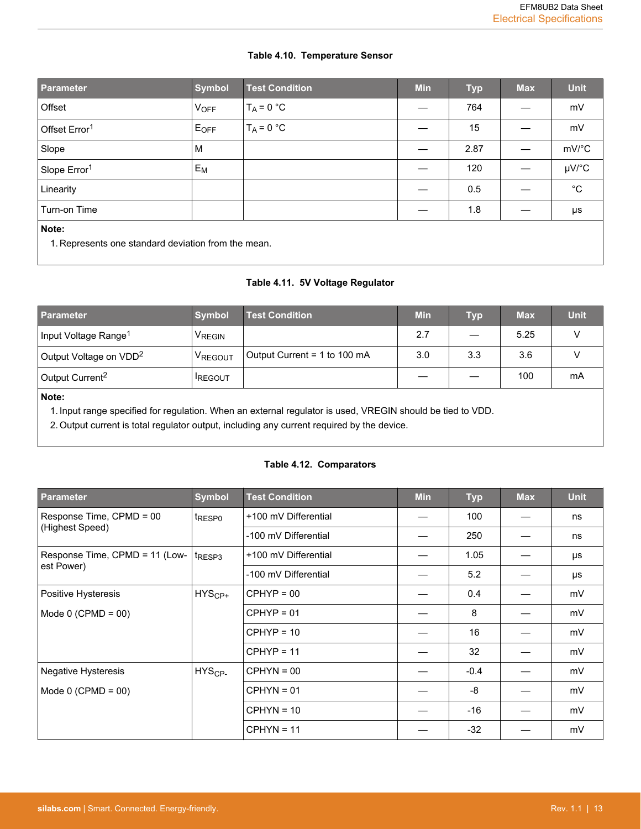# **Table 4.10. Temperature Sensor**

| <b>Parameter</b>                                             | <b>Symbol</b> | <b>Test Condition</b> | <b>Min</b> | <b>Typ</b> | <b>Max</b> | <b>Unit</b>  |  |
|--------------------------------------------------------------|---------------|-----------------------|------------|------------|------------|--------------|--|
| Offset                                                       | <b>VOFF</b>   | $T_A = 0 °C$          |            | 764        |            | mV           |  |
| Offset Error <sup>1</sup>                                    | $E_{OFF}$     | $T_A = 0 °C$          |            | 15         |            | mV           |  |
| Slope                                                        | м             |                       |            | 2.87       |            | mV/°C        |  |
| Slope Error <sup>1</sup>                                     | $E_M$         |                       |            | 120        |            | $\mu$ V/°C   |  |
| Linearity                                                    |               |                       |            | 0.5        |            | $^{\circ}$ C |  |
| Turn-on Time                                                 |               |                       |            | 1.8        |            | μs           |  |
| Note:<br>1. Represents one standard deviation from the mean. |               |                       |            |            |            |              |  |

# **Table 4.11. 5V Voltage Regulator**

| <b>Parameter</b><br><b>Symbol</b>                    |                | <b>Test Condition</b>        | <b>Min</b> | Тур                      | <b>Max</b> | <b>Unit</b> |
|------------------------------------------------------|----------------|------------------------------|------------|--------------------------|------------|-------------|
| Input Voltage Range <sup>1</sup>                     | VREGIN         |                              | 2.7        | $\overline{\phantom{0}}$ | 5.25       |             |
| Output Voltage on VDD <sup>2</sup><br><b>VREGOUT</b> |                | Output Current = 1 to 100 mA | 3.0        | 3.3                      | 3.6        |             |
| Output Current <sup>2</sup>                          | <b>IREGOUT</b> |                              |            |                          | 100        | mA          |
|                                                      |                |                              |            |                          |            |             |

## **Note:**

1. Input range specified for regulation. When an external regulator is used, VREGIN should be tied to VDD.

2. Output current is total regulator output, including any current required by the device.

# **Table 4.12. Comparators**

| <b>Parameter</b>               | <b>Symbol</b>                  | <b>Test Condition</b> | <b>Min</b> | <b>Typ</b> | <b>Max</b> | <b>Unit</b> |
|--------------------------------|--------------------------------|-----------------------|------------|------------|------------|-------------|
| Response Time, CPMD = 00       | <sup>t</sup> RESP <sub>0</sub> | +100 mV Differential  |            | 100        |            | ns          |
| (Highest Speed)                |                                | -100 mV Differential  |            | 250        |            | ns          |
| Response Time, CPMD = 11 (Low- | t <sub>RESP3</sub>             | +100 mV Differential  |            | 1.05       |            | μs          |
| est Power)                     |                                | -100 mV Differential  |            | 5.2        |            | μs          |
| Positive Hysteresis            | $HYS_{CP+}$                    | $CPHYP = 00$          |            | 0.4        |            | mV          |
| Mode $0$ (CPMD = 00)           |                                | $CPHYP = 01$          |            | 8          |            | mV          |
|                                |                                | $CPHYP = 10$          |            | 16         |            | mV          |
|                                |                                | $CPHYP = 11$          |            | 32         |            | mV          |
| <b>Negative Hysteresis</b>     | $HYSCP-$                       | $CPHYN = 00$          |            | $-0.4$     |            | mV          |
| Mode $0$ (CPMD = 00)           |                                | $CPHYN = 01$          |            | -8         |            | mV          |
|                                |                                | $CPHYN = 10$          |            | $-16$      |            | mV          |
|                                |                                | $CPHYN = 11$          |            | $-32$      |            | mV          |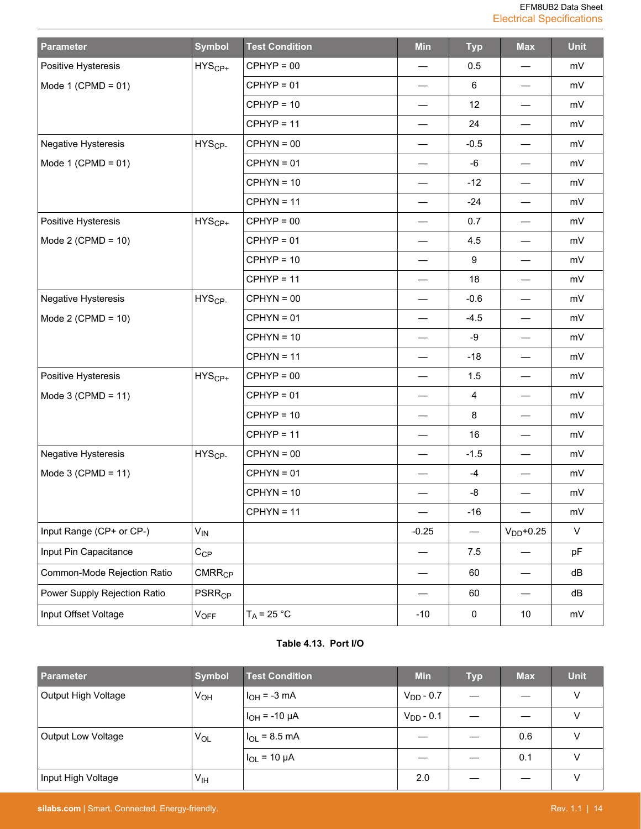| <b>Parameter</b>             | <b>Symbol</b>            | <b>Test Condition</b> | <b>Min</b>                     | <b>Typ</b>               | <b>Max</b>                       | <b>Unit</b>  |
|------------------------------|--------------------------|-----------------------|--------------------------------|--------------------------|----------------------------------|--------------|
| Positive Hysteresis          | $HYS_{CP+}$              | $CPHYP = 00$          |                                | 0.5                      | $\overline{\phantom{0}}$         | mV           |
| Mode 1 (CPMD = $01$ )        |                          | $CPHYP = 01$          | $\overline{\phantom{0}}$       | 6                        |                                  | mV           |
|                              |                          | $CPHYP = 10$          | $\overline{\phantom{0}}$       | 12                       | $\overline{\phantom{0}}$         | mV           |
|                              |                          | $CPHYP = 11$          |                                | 24                       |                                  | mV           |
| <b>Negative Hysteresis</b>   | $HYSCP-$                 | $CPHYN = 00$          |                                | $-0.5$                   | $\hspace{0.05cm}$                | mV           |
| Mode 1 (CPMD = $01$ )        |                          | $CPHYN = 01$          | $\overline{\phantom{0}}$       | -6                       | $\qquad \qquad$                  | mV           |
|                              |                          | $CPHYN = 10$          | $\overline{\phantom{0}}$       | $-12$                    |                                  | mV           |
|                              |                          | $CPHYN = 11$          | $\overline{\phantom{0}}$       | $-24$                    | $\qquad \qquad$                  | mV           |
| Positive Hysteresis          | $HYS_{CP+}$              | $CPHYP = 00$          |                                | 0.7                      | —                                | mV           |
| Mode 2 (CPMD = $10$ )        |                          | $CPHYP = 01$          |                                | 4.5                      |                                  | mV           |
|                              |                          | $CPHYP = 10$          |                                | 9                        | $\hspace{0.05cm}$                | mV           |
|                              |                          | $CPHYP = 11$          | $\qquad \qquad \longleftarrow$ | 18                       | $\qquad \qquad$                  | mV           |
| Negative Hysteresis          | HYS <sub>CP-</sub>       | $CPHYN = 00$          | $\overline{\phantom{0}}$       | $-0.6$                   |                                  | mV           |
| Mode 2 (CPMD = $10$ )        |                          | $CPHYN = 01$          | $\overline{\phantom{0}}$       | $-4.5$                   | $\overline{\phantom{0}}$         | mV           |
|                              |                          | $CPHYN = 10$          |                                | $-9$                     | $\overline{\phantom{0}}$         | mV           |
|                              |                          | $CPHYN = 11$          |                                | $-18$                    | $\overbrace{\phantom{12322111}}$ | mV           |
| Positive Hysteresis          | $HYS_{CP+}$              | $CPHYP = 00$          |                                | 1.5                      | $\overline{\phantom{0}}$         | mV           |
| Mode $3$ (CPMD = 11)         |                          | $CPHYP = 01$          |                                | 4                        | $\qquad \qquad$                  | mV           |
|                              |                          | $CPHYP = 10$          | $\overline{\phantom{0}}$       | 8                        |                                  | mV           |
|                              |                          | $CPHYP = 11$          |                                | 16                       |                                  | mV           |
| Negative Hysteresis          | HYS <sub>CP-</sub>       | $CPHYN = 00$          |                                | $-1.5$                   |                                  | mV           |
| Mode 3 (CPMD = $11$ )        |                          | $CPHYN = 01$          |                                | $-4$                     |                                  | mV           |
|                              |                          | $CPHYN = 10$          |                                | -8                       |                                  | mV           |
|                              |                          | $CPHYN = 11$          |                                | $-16$                    |                                  | mV           |
| Input Range (CP+ or CP-)     | $V_{IN}$                 |                       | $-0.25$                        | $\overline{\phantom{0}}$ | $VDD+0.25$                       | $\mathsf{V}$ |
| Input Pin Capacitance        | $C_{CP}$                 |                       |                                | 7.5                      |                                  | pF           |
| Common-Mode Rejection Ratio  | CMRR <sub>CP</sub>       |                       |                                | 60                       | —                                | dB           |
| Power Supply Rejection Ratio | <b>PSRR<sub>CP</sub></b> |                       |                                | 60                       |                                  | dB           |
| Input Offset Voltage         | $V_{OFF}$                | $T_A$ = 25 °C         | $-10$                          | $\pmb{0}$                | 10                               | mV           |

# **Table 4.13. Port I/O**

| Parameter                 | <b>Symbol</b>   | <b>Test Condition</b>  | <b>Min</b>     | <b>Typ</b> | <b>Max</b> | <b>Unit</b> |
|---------------------------|-----------------|------------------------|----------------|------------|------------|-------------|
| Output High Voltage       | V <sub>OH</sub> | $I_{OH} = -3$ mA       | $V_{DD} - 0.7$ |            |            | $\vee$      |
|                           |                 | $1_{OH}$ = -10 µA      | $V_{DD} - 0.1$ |            |            | v           |
| <b>Output Low Voltage</b> | $V_{OL}$        | $1_{OL}$ = 8.5 mA      |                |            | 0.6        | V           |
|                           |                 | $\vert I_{OL}$ = 10 µA |                |            | 0.1        | v           |
| Input High Voltage        | V <sub>IH</sub> |                        | 2.0            |            |            | v           |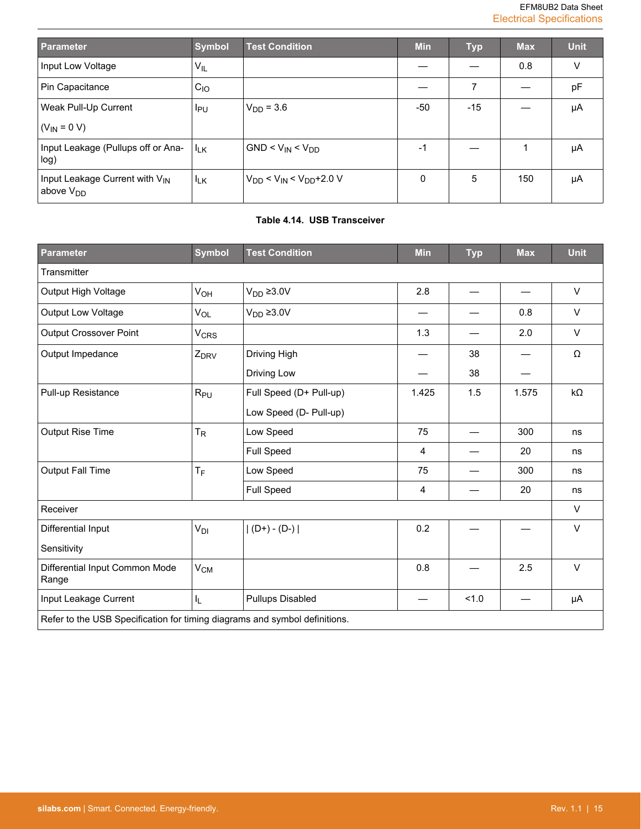| Parameter                                                    | <b>Symbol</b>   | <b>Test Condition</b>                  | <b>Min</b> | <b>Typ</b> | <b>Max</b> | <b>Unit</b> |
|--------------------------------------------------------------|-----------------|----------------------------------------|------------|------------|------------|-------------|
| Input Low Voltage                                            | $V_{IL}$        |                                        |            |            | 0.8        | V           |
| Pin Capacitance                                              | $C_{1O}$        |                                        |            | 7          |            | pF          |
| Weak Pull-Up Current                                         | I <sub>PU</sub> | $V_{DD} = 3.6$                         | -50        | $-15$      |            | μA          |
| $(V_{IN} = 0 V)$                                             |                 |                                        |            |            |            |             |
| Input Leakage (Pullups off or Ana-<br>log)                   | $I_{LK}$        | $GND < V_{IN} < V_{DD}$                | $-1$       |            |            | μA          |
| Input Leakage Current with V <sub>IN</sub><br>above $V_{DD}$ | $I_{LK}$        | $V_{DD}$ < $V_{IN}$ < $V_{DD}$ + 2.0 V | $\Omega$   | 5          | 150        | μA          |

# **Table 4.14. USB Transceiver**

| <b>Parameter</b>                                                           | <b>Symbol</b>          | <b>Test Condition</b>   | Min   | <b>Typ</b> | <b>Max</b> | <b>Unit</b> |  |
|----------------------------------------------------------------------------|------------------------|-------------------------|-------|------------|------------|-------------|--|
| Transmitter                                                                |                        |                         |       |            |            |             |  |
| Output High Voltage                                                        | $V_{OH}$               | V <sub>DD</sub> ≥ 3.0V  | 2.8   |            |            | $\vee$      |  |
| Output Low Voltage                                                         | $V_{OL}$               | $V_{DD} \ge 3.0V$       |       |            | 0.8        | $\vee$      |  |
| <b>Output Crossover Point</b>                                              | <b>V<sub>CRS</sub></b> |                         | 1.3   |            | 2.0        | $\vee$      |  |
| Output Impedance                                                           | Z <sub>DRV</sub>       | Driving High            |       | 38         |            | Ω           |  |
|                                                                            |                        | Driving Low             |       | 38         |            |             |  |
| Pull-up Resistance                                                         | $R_{PU}$               | Full Speed (D+ Pull-up) | 1.425 | 1.5        | 1.575      | $k\Omega$   |  |
|                                                                            |                        | Low Speed (D- Pull-up)  |       |            |            |             |  |
| Output Rise Time                                                           | $T_R$                  | Low Speed               | 75    |            | 300        | ns          |  |
|                                                                            |                        | <b>Full Speed</b>       | 4     |            | 20         | ns          |  |
| <b>Output Fall Time</b>                                                    | $T_F$                  | Low Speed               | 75    |            | 300        | ns          |  |
|                                                                            |                        | <b>Full Speed</b>       | 4     |            | 20         | ns          |  |
| Receiver                                                                   |                        |                         |       |            |            | $\vee$      |  |
| Differential Input                                                         | V <sub>DI</sub>        | $ (D+) - (D-) $         | 0.2   |            |            | $\vee$      |  |
| Sensitivity                                                                |                        |                         |       |            |            |             |  |
| Differential Input Common Mode<br>Range                                    | $V_{CM}$               |                         | 0.8   |            | 2.5        | $\vee$      |  |
| Input Leakage Current                                                      | I <sub>L</sub>         | <b>Pullups Disabled</b> |       | 1.0        |            | μA          |  |
| Refer to the USB Specification for timing diagrams and symbol definitions. |                        |                         |       |            |            |             |  |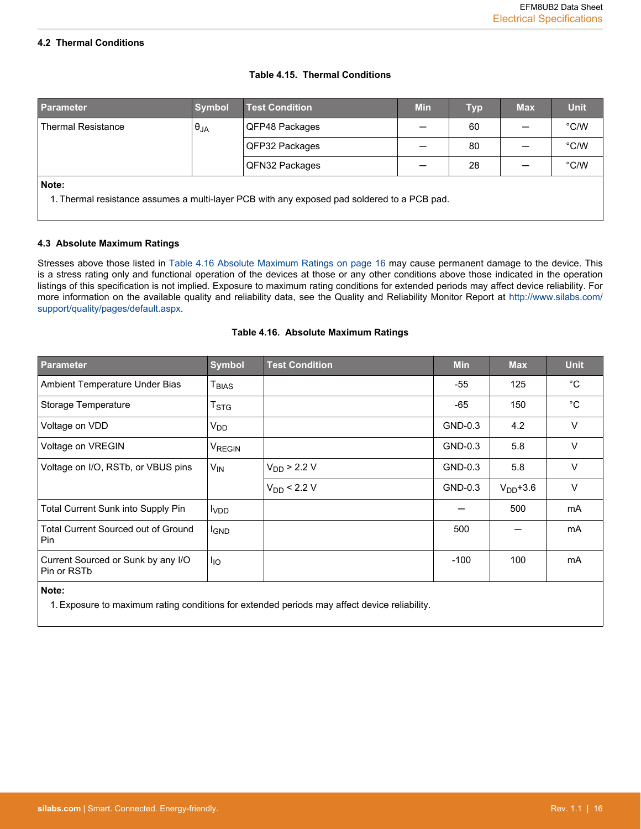#### <span id="page-16-0"></span>**4.2 Thermal Conditions**

## **Table 4.15. Thermal Conditions**

| <b>Parameter</b>                                                                                     | <b>Symbol</b> | <b>Test Condition</b> | <b>Min</b> | Тур | <b>Max</b> | <b>Unit</b> |  |  |
|------------------------------------------------------------------------------------------------------|---------------|-----------------------|------------|-----|------------|-------------|--|--|
| <b>Thermal Resistance</b>                                                                            | $\theta_{JA}$ | QFP48 Packages        |            | 60  |            | °C/W        |  |  |
|                                                                                                      |               | QFP32 Packages        |            | 80  |            | °C/W        |  |  |
|                                                                                                      |               | QFN32 Packages        |            | 28  |            | °C/W        |  |  |
| Note:<br>1. Thermal resistance assumes a multi-layer PCB with any exposed pad soldered to a PCB pad. |               |                       |            |     |            |             |  |  |

#### **4.3 Absolute Maximum Ratings**

Stresses above those listed in Table 4.16 Absolute Maximum Ratings on page 16 may cause permanent damage to the device. This is a stress rating only and functional operation of the devices at those or any other conditions above those indicated in the operation listings of this specification is not implied. Exposure to maximum rating conditions for extended periods may affect device reliability. For more information on the available quality and reliability data, see the Quality and Reliability Monitor Report at [http://www.silabs.com/](http://www.silabs.com/support/quality/pages/default.aspx) [support/quality/pages/default.aspx.](http://www.silabs.com/support/quality/pages/default.aspx)

# **Parameter Symbol Test Condition Min Max Unit** Ambient Temperature Under Bias 125 °C Storage Temperature T<sub>STG</sub>  $\vert$  T<sub>STG</sub>  $\vert$  450  $\vert$  <sup>o</sup>C Voltage on VDD  $\vert$  V<sub>DD</sub>  $\vert$   $\vert$   $\vert$   $\vert$   $\vert$  GND-0.3  $\vert$   $\vert$  4.2  $\vert$  V Voltage on VREGIN  $|V_{\text{REGIN}}|$   $|V_{\text{REGIN}}|$   $|V_{\text{REGIN}}|$   $|V_{\text{REGIN}}|$   $|V_{\text{EGIN}}|$   $|V_{\text{EGIN}}|$   $|V_{\text{EGIN}}|$   $|V_{\text{EGIN}}|$   $|V_{\text{EGIN}}|$   $|V_{\text{EGIN}}|$   $|V_{\text{EGIN}}|$   $|V_{\text{EGIN}}|$   $|V_{\text{EGIN}}|$   $|V_{\text{EGIN}}|$   $|V_{\text{EGIN}}|$   $|V_{\text{EG$ Voltage on I/O, RSTb, or VBUS pins  $|V_{\text{IN}}|$   $|V_{\text{DD}}$  > 2.2 V  $|V_{\text{S}}|$  GND-0.3  $|$  5.8 V VDD < 2.2 V GND-0.3 VDD+3.6 V Total Current Sunk into Supply Pin IV<sub>DD</sub> I Solution Sunk into Supply Pin III D<sub>VDD</sub> Solution Sunk into Supply Pin Total Current Sourced out of Ground Pin I<sub>GND</sub> │ │ │ │ │ │ │ 500 │ ─ │ mA Current Sourced or Sunk by any I/O Pin or RSTb IIO -100 100 mA

#### **Table 4.16. Absolute Maximum Ratings**

#### **Note:**

1. Exposure to maximum rating conditions for extended periods may affect device reliability.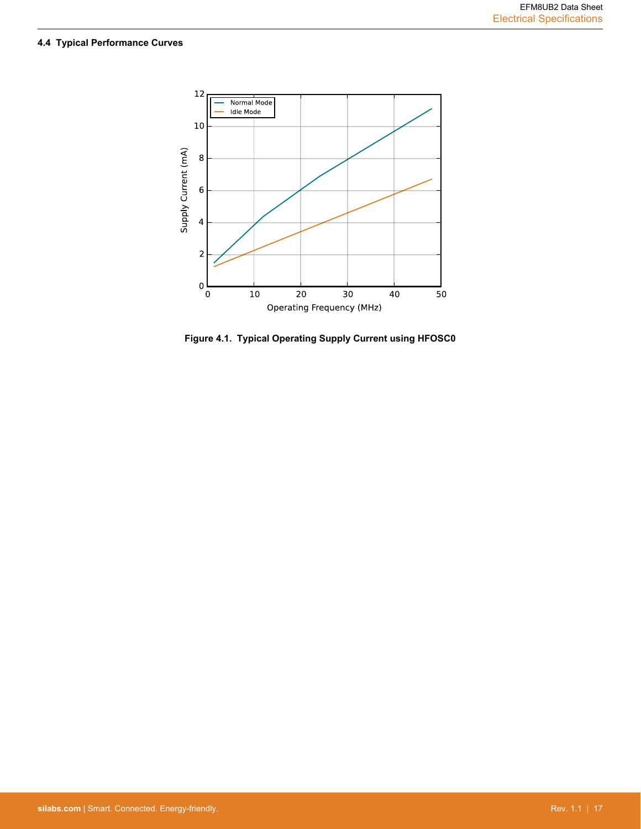# <span id="page-17-0"></span>**4.4 Typical Performance Curves**



**Figure 4.1. Typical Operating Supply Current using HFOSC0**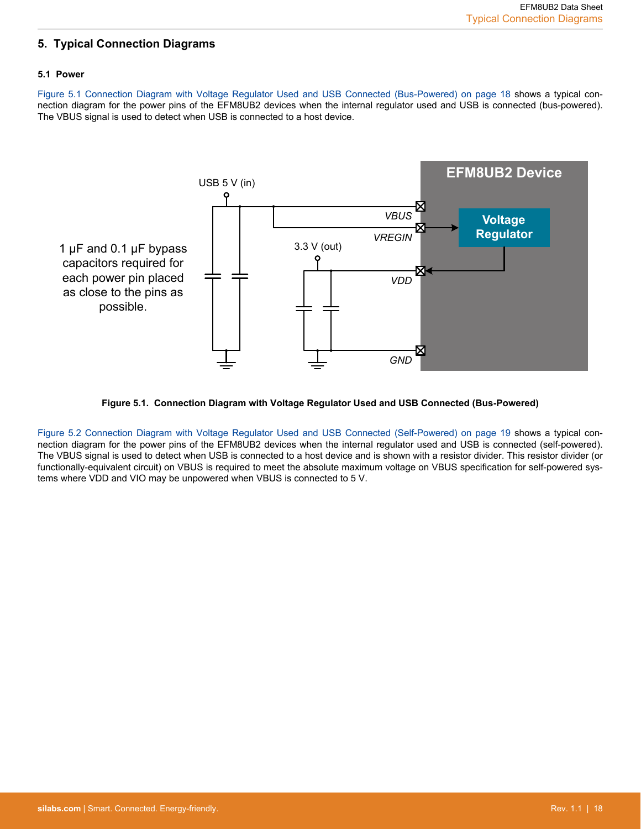# <span id="page-18-0"></span>**5. Typical Connection Diagrams**

## **5.1 Power**

Figure 5.1 Connection Diagram with Voltage Regulator Used and USB Connected (Bus-Powered) on page 18 shows a typical connection diagram for the power pins of the EFM8UB2 devices when the internal regulator used and USB is connected (bus-powered). The VBUS signal is used to detect when USB is connected to a host device.





[Figure 5.2 Connection Diagram with Voltage Regulator Used and USB Connected \(Self-Powered\) on page 19](#page-19-0) shows a typical connection diagram for the power pins of the EFM8UB2 devices when the internal regulator used and USB is connected (self-powered). The VBUS signal is used to detect when USB is connected to a host device and is shown with a resistor divider. This resistor divider (or functionally-equivalent circuit) on VBUS is required to meet the absolute maximum voltage on VBUS specification for self-powered systems where VDD and VIO may be unpowered when VBUS is connected to 5 V.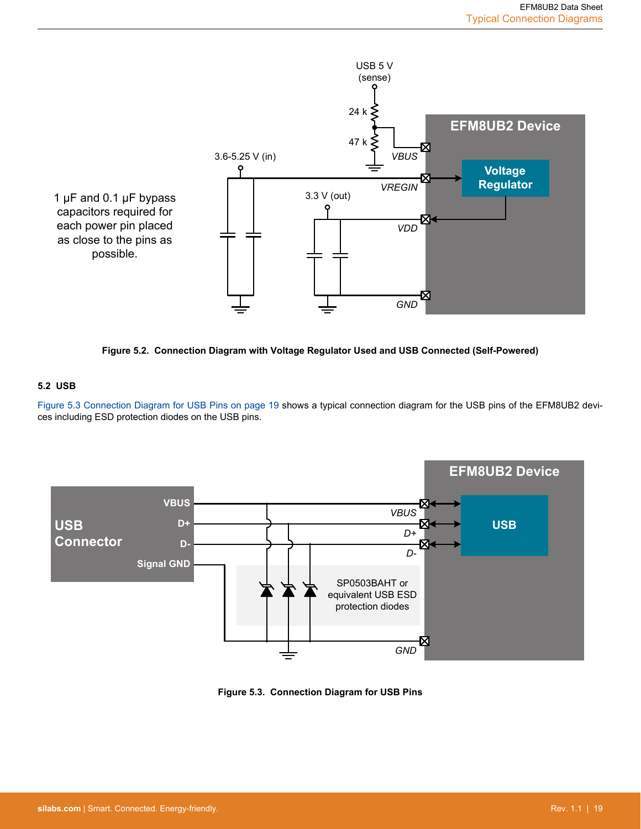<span id="page-19-0"></span>

**Figure 5.2. Connection Diagram with Voltage Regulator Used and USB Connected (Self-Powered)**

# **5.2 USB**

Figure 5.3 Connection Diagram for USB Pins on page 19 shows a typical connection diagram for the USB pins of the EFM8UB2 devices including ESD protection diodes on the USB pins.



**Figure 5.3. Connection Diagram for USB Pins**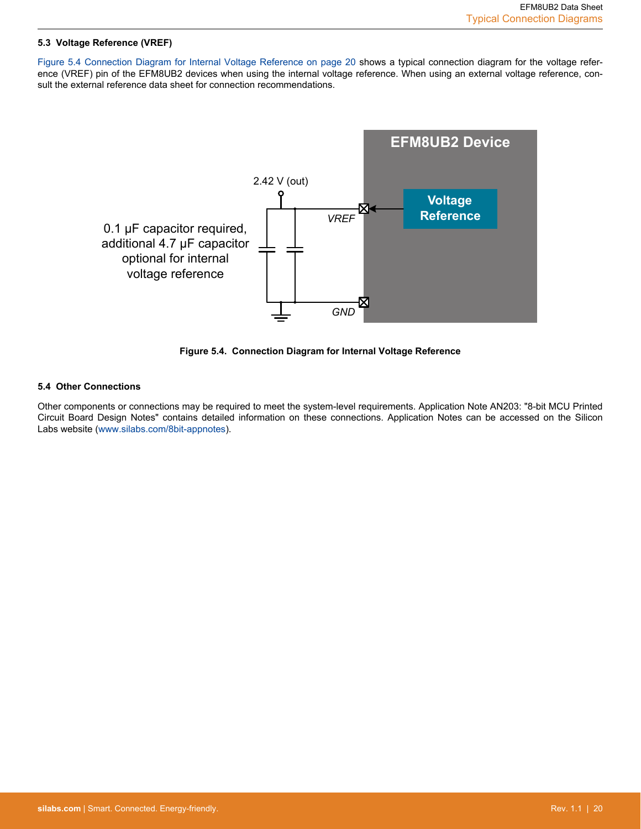## <span id="page-20-0"></span>**5.3 Voltage Reference (VREF)**

Figure 5.4 Connection Diagram for Internal Voltage Reference on page 20 shows a typical connection diagram for the voltage reference (VREF) pin of the EFM8UB2 devices when using the internal voltage reference. When using an external voltage reference, consult the external reference data sheet for connection recommendations.



**Figure 5.4. Connection Diagram for Internal Voltage Reference**

#### **5.4 Other Connections**

Other components or connections may be required to meet the system-level requirements. Application Note AN203: "8-bit MCU Printed Circuit Board Design Notes" contains detailed information on these connections. Application Notes can be accessed on the Silicon Labs website [\(www.silabs.com/8bit-appnotes\)](http://www.silabs.com/8bit-appnotes).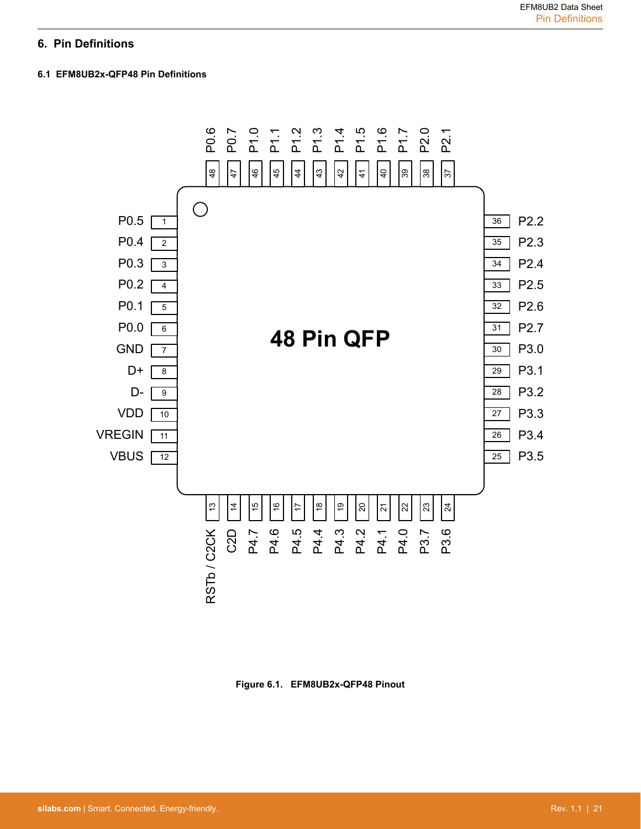# <span id="page-21-0"></span>**6. Pin Definitions**

# **6.1 EFM8UB2x-QFP48 Pin Definitions**



**Figure 6.1. EFM8UB2x-QFP48 Pinout**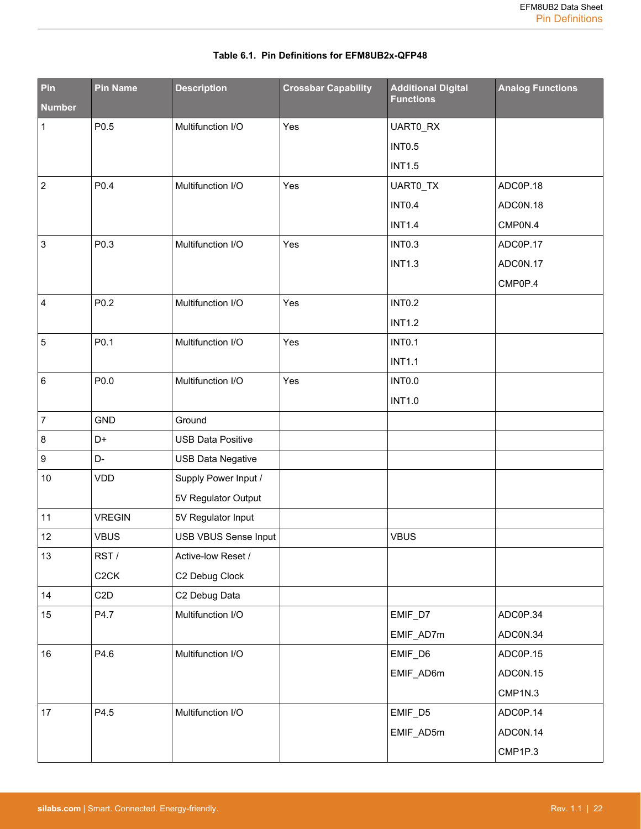| Pin<br><b>Number</b>    | <b>Pin Name</b>   | <b>Description</b>          | <b>Crossbar Capability</b> | <b>Additional Digital</b><br><b>Functions</b> | <b>Analog Functions</b> |
|-------------------------|-------------------|-----------------------------|----------------------------|-----------------------------------------------|-------------------------|
| 1                       | P0.5              | Multifunction I/O           | Yes                        | UART0_RX                                      |                         |
|                         |                   |                             |                            | <b>INT0.5</b>                                 |                         |
|                         |                   |                             |                            | <b>INT1.5</b>                                 |                         |
| $\overline{2}$          | P0.4              | Multifunction I/O           | Yes                        | UART0_TX                                      | ADC0P.18                |
|                         |                   |                             |                            | <b>INT0.4</b>                                 | ADCON.18                |
|                         |                   |                             |                            | <b>INT1.4</b>                                 | CMP0N.4                 |
| 3                       | P0.3              | Multifunction I/O           | Yes                        | <b>INT0.3</b>                                 | ADC0P.17                |
|                         |                   |                             |                            | <b>INT1.3</b>                                 | ADC0N.17                |
|                         |                   |                             |                            |                                               | CMP0P.4                 |
| $\overline{\mathbf{4}}$ | P0.2              | Multifunction I/O           | Yes                        | <b>INTO.2</b>                                 |                         |
|                         |                   |                             |                            | <b>INT1.2</b>                                 |                         |
| 5                       | P0.1              | Multifunction I/O           | Yes                        | <b>INTO.1</b>                                 |                         |
|                         |                   |                             |                            | <b>INT1.1</b>                                 |                         |
| 6                       | P0.0              | Multifunction I/O           | Yes                        | <b>INTO.0</b>                                 |                         |
|                         |                   |                             |                            | <b>INT1.0</b>                                 |                         |
| $\overline{7}$          | <b>GND</b>        | Ground                      |                            |                                               |                         |
| 8                       | D+                | <b>USB Data Positive</b>    |                            |                                               |                         |
| 9                       | D-                | <b>USB Data Negative</b>    |                            |                                               |                         |
| $10\,$                  | <b>VDD</b>        | Supply Power Input /        |                            |                                               |                         |
|                         |                   | 5V Regulator Output         |                            |                                               |                         |
| 11                      | <b>VREGIN</b>     | 5V Regulator Input          |                            |                                               |                         |
| 12                      | <b>VBUS</b>       | <b>USB VBUS Sense Input</b> |                            | <b>VBUS</b>                                   |                         |
| 13                      | RST/              | Active-low Reset /          |                            |                                               |                         |
|                         | C <sub>2</sub> CK | C2 Debug Clock              |                            |                                               |                         |
| 14                      | C <sub>2</sub> D  | C2 Debug Data               |                            |                                               |                         |
| 15                      | P4.7              | Multifunction I/O           |                            | EMIF_D7                                       | ADC0P.34                |
|                         |                   |                             |                            | EMIF_AD7m                                     | ADC0N.34                |
| 16                      | P4.6              | Multifunction I/O           |                            | EMIF_D6                                       | ADC0P.15                |
|                         |                   |                             |                            | EMIF_AD6m                                     | ADCON.15                |
|                         |                   |                             |                            |                                               | CMP1N.3                 |
| 17                      | P4.5              | Multifunction I/O           |                            | EMIF_D5                                       | ADC0P.14                |
|                         |                   |                             |                            | EMIF_AD5m                                     | ADC0N.14                |
|                         |                   |                             |                            |                                               | CMP1P.3                 |

# **Table 6.1. Pin Definitions for EFM8UB2x-QFP48**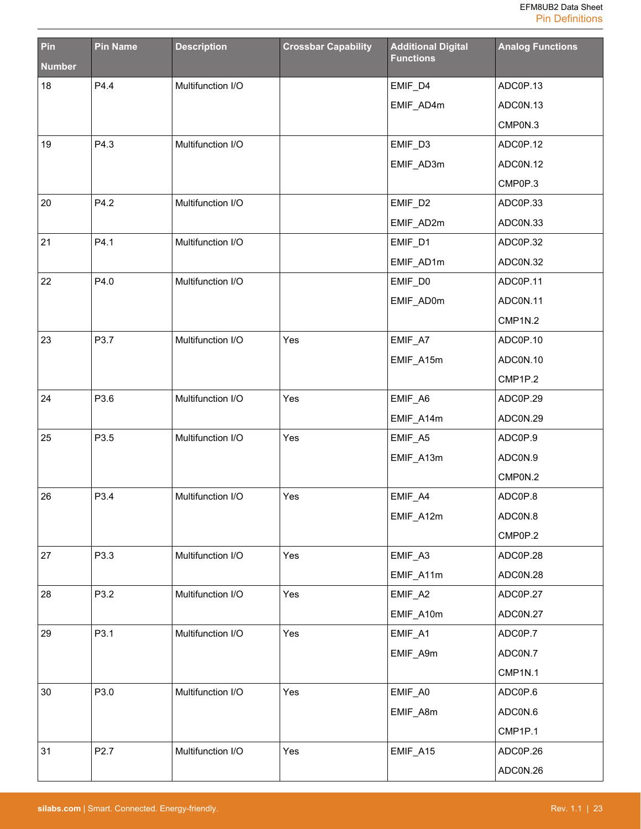| Pin           | <b>Pin Name</b>  | <b>Description</b> | <b>Crossbar Capability</b> | <b>Additional Digital</b><br><b>Functions</b> | <b>Analog Functions</b> |
|---------------|------------------|--------------------|----------------------------|-----------------------------------------------|-------------------------|
| <b>Number</b> |                  |                    |                            |                                               |                         |
| 18            | P4.4             | Multifunction I/O  |                            | EMIF_D4                                       | ADC0P.13                |
|               |                  |                    |                            | EMIF_AD4m                                     | ADCON.13                |
|               |                  |                    |                            |                                               | CMP0N.3                 |
| 19            | P4.3             | Multifunction I/O  |                            | EMIF_D3                                       | ADC0P.12                |
|               |                  |                    |                            | EMIF_AD3m                                     | ADCON.12                |
|               |                  |                    |                            |                                               | CMP0P.3                 |
| 20            | P4.2             | Multifunction I/O  |                            | EMIF_D2                                       | ADC0P.33                |
|               |                  |                    |                            | EMIF_AD2m                                     | ADC0N.33                |
| 21            | P4.1             | Multifunction I/O  |                            | EMIF_D1                                       | ADC0P.32                |
|               |                  |                    |                            | EMIF_AD1m                                     | ADC0N.32                |
| 22            | P4.0             | Multifunction I/O  |                            | EMIF_D0                                       | ADC0P.11                |
|               |                  |                    |                            | EMIF_AD0m                                     | ADCON.11                |
|               |                  |                    |                            |                                               | CMP1N.2                 |
| 23            | P3.7             | Multifunction I/O  | Yes                        | EMIF_A7                                       | ADC0P.10                |
|               |                  |                    |                            | EMIF_A15m                                     | ADC0N.10                |
|               |                  |                    |                            |                                               | CMP1P.2                 |
| 24            | P3.6             | Multifunction I/O  | Yes                        | EMIF_A6                                       | ADC0P.29                |
|               |                  |                    |                            | EMIF_A14m                                     | ADC0N.29                |
| 25            | P3.5             | Multifunction I/O  | Yes                        | EMIF_A5                                       | ADC0P.9                 |
|               |                  |                    |                            | EMIF_A13m                                     | ADC0N.9                 |
|               |                  |                    |                            |                                               | CMP0N.2                 |
| 26            | P3.4             | Multifunction I/O  | Yes                        | EMIF_A4                                       | ADC0P.8                 |
|               |                  |                    |                            | EMIF_A12m                                     | ADCON.8                 |
|               |                  |                    |                            |                                               | CMP0P.2                 |
| 27            | P3.3             | Multifunction I/O  | Yes                        | EMIF_A3                                       | ADC0P.28                |
|               |                  |                    |                            | EMIF_A11m                                     | ADC0N.28                |
| 28            | P3.2             | Multifunction I/O  | Yes                        | EMIF_A2                                       | ADC0P.27                |
|               |                  |                    |                            | EMIF_A10m                                     | ADC0N.27                |
| 29            | P3.1             | Multifunction I/O  | Yes                        | EMIF_A1                                       | ADC0P.7                 |
|               |                  |                    |                            | EMIF_A9m                                      | ADC0N.7                 |
|               |                  |                    |                            |                                               | CMP1N.1                 |
| $30\,$        | P3.0             | Multifunction I/O  | Yes                        | EMIF_A0                                       | ADC0P.6                 |
|               |                  |                    |                            | EMIF_A8m                                      | ADC0N.6                 |
|               |                  |                    |                            |                                               | CMP1P.1                 |
| 31            | P <sub>2.7</sub> | Multifunction I/O  | Yes                        | EMIF_A15                                      | ADC0P.26                |
|               |                  |                    |                            |                                               | ADC0N.26                |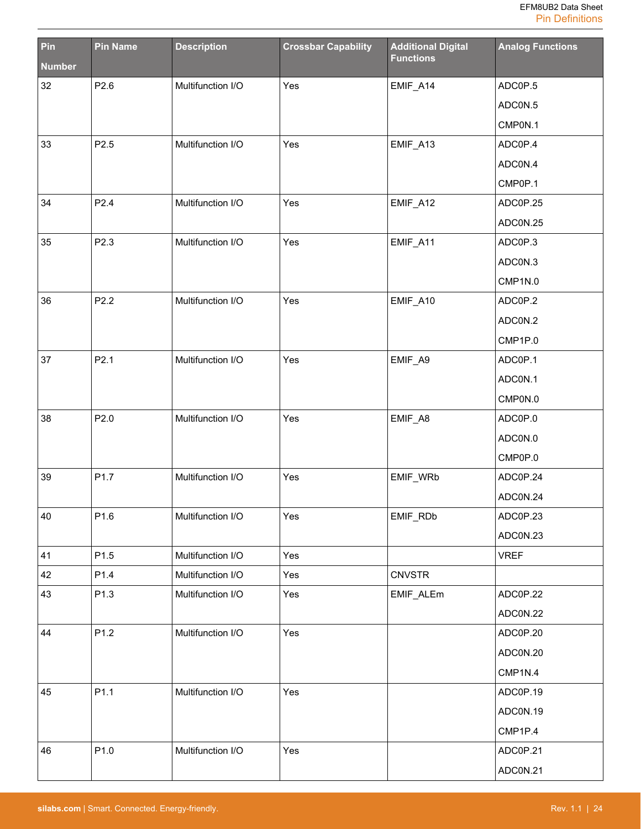| Pin           | <b>Pin Name</b> | <b>Description</b> | <b>Crossbar Capability</b> | <b>Additional Digital</b><br><b>Functions</b> | <b>Analog Functions</b> |
|---------------|-----------------|--------------------|----------------------------|-----------------------------------------------|-------------------------|
| <b>Number</b> |                 |                    |                            |                                               |                         |
| 32            | P2.6            | Multifunction I/O  | Yes                        | EMIF_A14                                      | ADC0P.5                 |
|               |                 |                    |                            |                                               | ADC0N.5                 |
|               |                 |                    |                            |                                               | CMP0N.1                 |
| 33            | P2.5            | Multifunction I/O  | Yes                        | EMIF_A13                                      | ADC0P.4                 |
|               |                 |                    |                            |                                               | ADC0N.4                 |
|               |                 |                    |                            |                                               | CMP0P.1                 |
| 34            | P2.4            | Multifunction I/O  | Yes                        | EMIF_A12                                      | ADC0P.25                |
|               |                 |                    |                            |                                               | ADC0N.25                |
| 35            | P2.3            | Multifunction I/O  | Yes                        | EMIF_A11                                      | ADC0P.3                 |
|               |                 |                    |                            |                                               | ADCON.3                 |
|               |                 |                    |                            |                                               | CMP1N.0                 |
| 36            | P2.2            | Multifunction I/O  | Yes                        | EMIF_A10                                      | ADC0P.2                 |
|               |                 |                    |                            |                                               | ADC0N.2                 |
|               |                 |                    |                            |                                               | CMP1P.0                 |
| 37            | P2.1            | Multifunction I/O  | Yes                        | EMIF_A9                                       | ADC0P.1                 |
|               |                 |                    |                            |                                               | ADCON.1                 |
|               |                 |                    |                            |                                               | CMP0N.0                 |
| 38            | P2.0            | Multifunction I/O  | Yes                        | EMIF_A8                                       | ADC0P.0                 |
|               |                 |                    |                            |                                               | ADCON.0                 |
|               |                 |                    |                            |                                               | CMP0P.0                 |
| 39            | P1.7            | Multifunction I/O  | Yes                        | EMIF_WRb                                      | ADC0P.24                |
|               |                 |                    |                            |                                               | ADC0N.24                |
| 40            | P1.6            | Multifunction I/O  | Yes                        | EMIF_RDb                                      | ADC0P.23                |
|               |                 |                    |                            |                                               | ADCON.23                |
| 41            | P1.5            | Multifunction I/O  | Yes                        |                                               | <b>VREF</b>             |
| 42            | P1.4            | Multifunction I/O  | Yes                        | <b>CNVSTR</b>                                 |                         |
| 43            | P1.3            | Multifunction I/O  | Yes                        | EMIF_ALEm                                     | ADC0P.22                |
|               |                 |                    |                            |                                               | ADC0N.22                |
| 44            | P1.2            | Multifunction I/O  | Yes                        |                                               | ADC0P.20                |
|               |                 |                    |                            |                                               | ADC0N.20                |
|               |                 |                    |                            |                                               | CMP1N.4                 |
| 45            | P1.1            | Multifunction I/O  | Yes                        |                                               | ADC0P.19                |
|               |                 |                    |                            |                                               | ADC0N.19                |
|               |                 |                    |                            |                                               | CMP1P.4                 |
| 46            | P1.0            | Multifunction I/O  | Yes                        |                                               | ADC0P.21                |
|               |                 |                    |                            |                                               | ADCON.21                |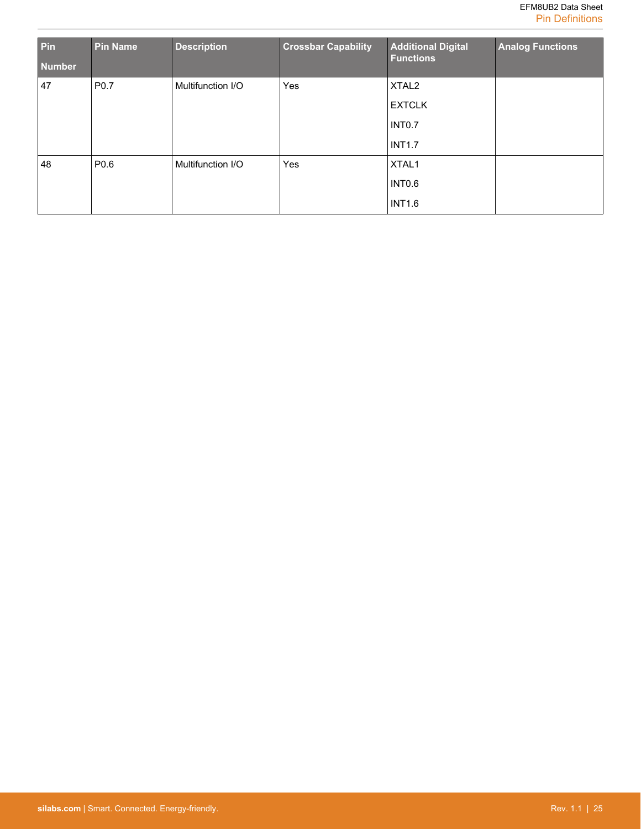| Pin<br><b>Number</b> | <b>Pin Name</b>  | <b>Description</b> | <b>Crossbar Capability</b> | <b>Additional Digital</b><br><b>Functions</b> | <b>Analog Functions</b> |
|----------------------|------------------|--------------------|----------------------------|-----------------------------------------------|-------------------------|
| 47                   | P0.7             | Multifunction I/O  | Yes                        | XTAL <sub>2</sub>                             |                         |
|                      |                  |                    |                            | <b>EXTCLK</b>                                 |                         |
|                      |                  |                    |                            | INTO.7                                        |                         |
|                      |                  |                    |                            | <b>INT1.7</b>                                 |                         |
| 48                   | P <sub>0.6</sub> | Multifunction I/O  | Yes                        | XTAL1                                         |                         |
|                      |                  |                    |                            | INTO.6                                        |                         |
|                      |                  |                    |                            | <b>INT1.6</b>                                 |                         |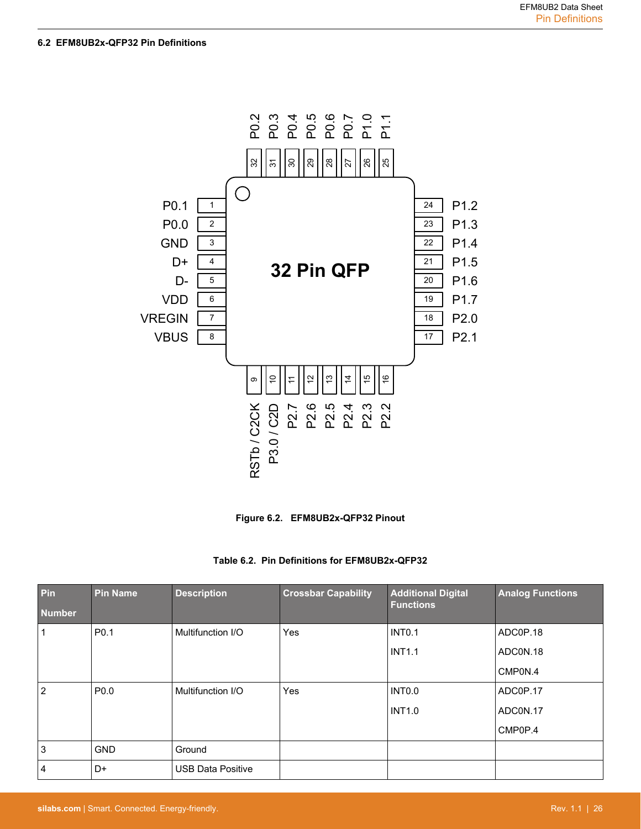#### <span id="page-26-0"></span>**6.2 EFM8UB2x-QFP32 Pin Definitions**



**Figure 6.2. EFM8UB2x-QFP32 Pinout**

|  | Table 6.2. Pin Definitions for EFM8UB2x-QFP32 |  |  |
|--|-----------------------------------------------|--|--|
|--|-----------------------------------------------|--|--|

| Pin<br><b>Number</b> | <b>Pin Name</b>  | <b>Description</b>       | <b>Crossbar Capability</b> | <b>Additional Digital</b><br><b>Functions</b> | <b>Analog Functions</b> |
|----------------------|------------------|--------------------------|----------------------------|-----------------------------------------------|-------------------------|
| 1                    | P <sub>0.1</sub> | Multifunction I/O        | <b>Yes</b>                 | <b>INT0.1</b>                                 | ADC0P.18                |
|                      |                  |                          |                            | <b>INT1.1</b>                                 | ADCON.18                |
|                      |                  |                          |                            |                                               | CMP0N.4                 |
| 2                    | P <sub>0.0</sub> | Multifunction I/O        | <b>Yes</b>                 | INTO.O                                        | ADC0P.17                |
|                      |                  |                          |                            | <b>INT1.0</b>                                 | ADCON.17                |
|                      |                  |                          |                            |                                               | CMP0P.4                 |
| 3                    | <b>GND</b>       | Ground                   |                            |                                               |                         |
| 4                    | D+               | <b>USB Data Positive</b> |                            |                                               |                         |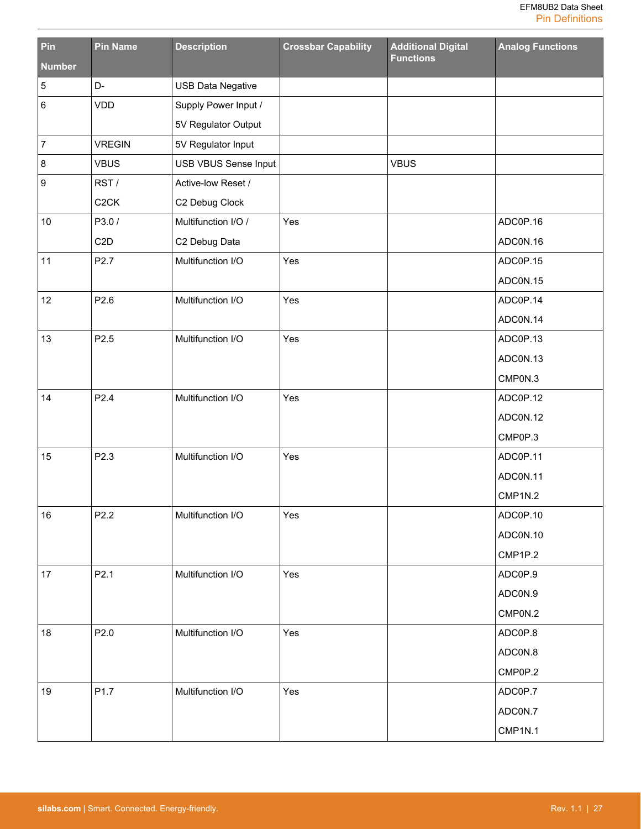| Pin              | <b>Pin Name</b>   | <b>Description</b>       | <b>Crossbar Capability</b> | <b>Additional Digital</b><br><b>Functions</b> | <b>Analog Functions</b> |
|------------------|-------------------|--------------------------|----------------------------|-----------------------------------------------|-------------------------|
| <b>Number</b>    |                   |                          |                            |                                               |                         |
| $\sqrt{5}$       | D-                | <b>USB Data Negative</b> |                            |                                               |                         |
| $\,6\,$          | VDD               | Supply Power Input /     |                            |                                               |                         |
|                  |                   | 5V Regulator Output      |                            |                                               |                         |
| $\boldsymbol{7}$ | <b>VREGIN</b>     | 5V Regulator Input       |                            |                                               |                         |
| $\bf 8$          | <b>VBUS</b>       | USB VBUS Sense Input     |                            | <b>VBUS</b>                                   |                         |
| $\boldsymbol{9}$ | RST/              | Active-low Reset /       |                            |                                               |                         |
|                  | C <sub>2</sub> CK | C2 Debug Clock           |                            |                                               |                         |
| 10               | P3.0/             | Multifunction I/O /      | Yes                        |                                               | ADC0P.16                |
|                  | C <sub>2</sub> D  | C2 Debug Data            |                            |                                               | ADCON.16                |
| 11               | P2.7              | Multifunction I/O        | Yes                        |                                               | ADC0P.15                |
|                  |                   |                          |                            |                                               | ADCON.15                |
| 12               | P2.6              | Multifunction I/O        | Yes                        |                                               | ADC0P.14                |
|                  |                   |                          |                            |                                               | ADCON.14                |
| 13               | P <sub>2.5</sub>  | Multifunction I/O        | Yes                        |                                               | ADC0P.13                |
|                  |                   |                          |                            |                                               | ADCON.13                |
|                  |                   |                          |                            |                                               | CMP0N.3                 |
| 14               | P2.4              | Multifunction I/O        | Yes                        |                                               | ADC0P.12                |
|                  |                   |                          |                            |                                               | ADCON.12                |
|                  |                   |                          |                            |                                               | CMP0P.3                 |
| 15               | P2.3              | Multifunction I/O        | Yes                        |                                               | ADC0P.11                |
|                  |                   |                          |                            |                                               | ADC0N.11                |
|                  |                   |                          |                            |                                               | CMP1N.2                 |
| 16               | P2.2              | Multifunction I/O        | Yes                        |                                               | ADC0P.10                |
|                  |                   |                          |                            |                                               | ADC0N.10                |
|                  |                   |                          |                            |                                               | CMP1P.2                 |
| 17               | P2.1              | Multifunction I/O        | Yes                        |                                               | ADC0P.9                 |
|                  |                   |                          |                            |                                               | ADC0N.9                 |
|                  |                   |                          |                            |                                               | CMP0N.2                 |
| 18               | P2.0              | Multifunction I/O        | Yes                        |                                               | ADC0P.8                 |
|                  |                   |                          |                            |                                               | ADC0N.8                 |
|                  |                   |                          |                            |                                               | CMP0P.2                 |
| 19               | P <sub>1.7</sub>  | Multifunction I/O        | Yes                        |                                               | ADC0P.7                 |
|                  |                   |                          |                            |                                               | ADC0N.7                 |
|                  |                   |                          |                            |                                               | CMP1N.1                 |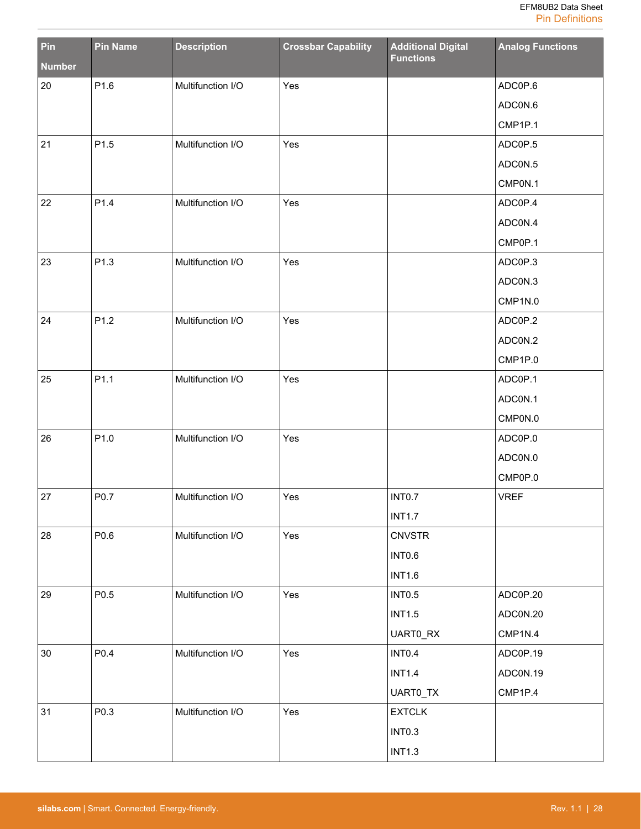| Pin           | <b>Pin Name</b> | <b>Description</b> | <b>Crossbar Capability</b> | <b>Additional Digital</b><br><b>Functions</b> | <b>Analog Functions</b> |
|---------------|-----------------|--------------------|----------------------------|-----------------------------------------------|-------------------------|
| <b>Number</b> |                 |                    |                            |                                               |                         |
| 20            | P1.6            | Multifunction I/O  | Yes                        |                                               | ADC0P.6                 |
|               |                 |                    |                            |                                               | ADC0N.6                 |
|               |                 |                    |                            |                                               | CMP1P.1                 |
| 21            | P1.5            | Multifunction I/O  | Yes                        |                                               | ADC0P.5                 |
|               |                 |                    |                            |                                               | ADCON.5                 |
|               |                 |                    |                            |                                               | CMP0N.1                 |
| 22            | P1.4            | Multifunction I/O  | Yes                        |                                               | ADC0P.4                 |
|               |                 |                    |                            |                                               | ADC0N.4                 |
|               |                 |                    |                            |                                               | CMP0P.1                 |
| 23            | P1.3            | Multifunction I/O  | Yes                        |                                               | ADC0P.3                 |
|               |                 |                    |                            |                                               | ADCON.3                 |
|               |                 |                    |                            |                                               | CMP1N.0                 |
| 24            | P1.2            | Multifunction I/O  | Yes                        |                                               | ADC0P.2                 |
|               |                 |                    |                            |                                               | ADCON.2                 |
|               |                 |                    |                            |                                               | CMP1P.0                 |
| 25            | P1.1            | Multifunction I/O  | Yes                        |                                               | ADC0P.1                 |
|               |                 |                    |                            |                                               | ADCON.1                 |
|               |                 |                    |                            |                                               | CMP0N.0                 |
| 26            | P1.0            | Multifunction I/O  | Yes                        |                                               | ADC0P.0                 |
|               |                 |                    |                            |                                               | ADCON.0                 |
|               |                 |                    |                            |                                               | CMP0P.0                 |
| 27            | P0.7            | Multifunction I/O  | Yes                        | INTO.7                                        | <b>VREF</b>             |
|               |                 |                    |                            | <b>INT1.7</b>                                 |                         |
| 28            | P0.6            | Multifunction I/O  | Yes                        | <b>CNVSTR</b>                                 |                         |
|               |                 |                    |                            | INTO.6                                        |                         |
|               |                 |                    |                            | <b>INT1.6</b>                                 |                         |
| 29            | P0.5            | Multifunction I/O  | Yes                        | <b>INTO.5</b>                                 | ADC0P.20                |
|               |                 |                    |                            | <b>INT1.5</b>                                 | ADC0N.20                |
|               |                 |                    |                            | UART0_RX                                      | CMP1N.4                 |
| 30            | P0.4            | Multifunction I/O  | Yes                        | INTO.4                                        | ADC0P.19                |
|               |                 |                    |                            | <b>INT1.4</b>                                 | ADC0N.19                |
|               |                 |                    |                            | UART0_TX                                      | CMP1P.4                 |
| 31            | P0.3            | Multifunction I/O  | Yes                        | <b>EXTCLK</b>                                 |                         |
|               |                 |                    |                            | INTO.3                                        |                         |
|               |                 |                    |                            | <b>INT1.3</b>                                 |                         |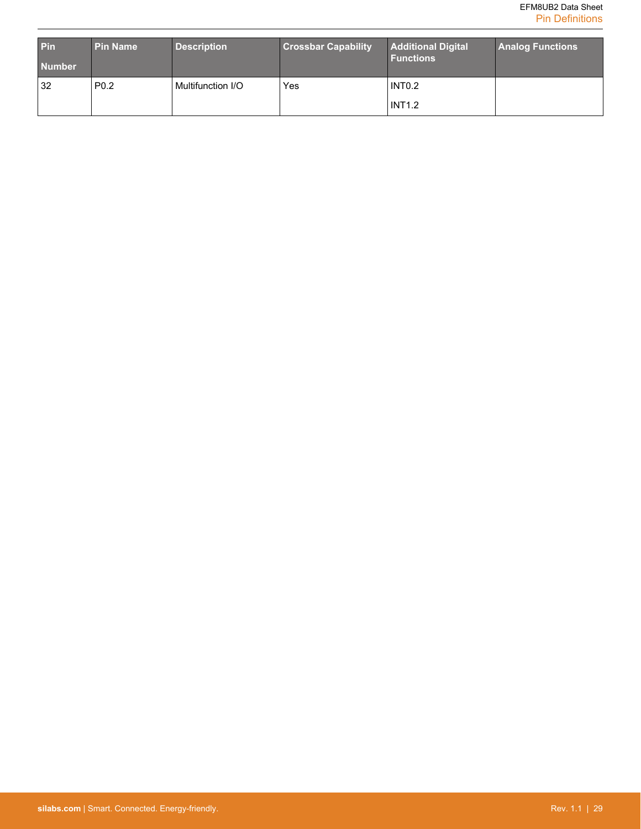| <b>Pin</b><br><b>Number</b> | <b>Pin Name</b>  | <b>Description</b> | <b>Crossbar Capability</b> | Additional Digital<br><b>Functions</b> | <b>Analog Functions</b> |
|-----------------------------|------------------|--------------------|----------------------------|----------------------------------------|-------------------------|
| 32                          | P <sub>0.2</sub> | Multifunction I/O  | Yes                        | INTO <sub>2</sub><br><b>INT1.2</b>     |                         |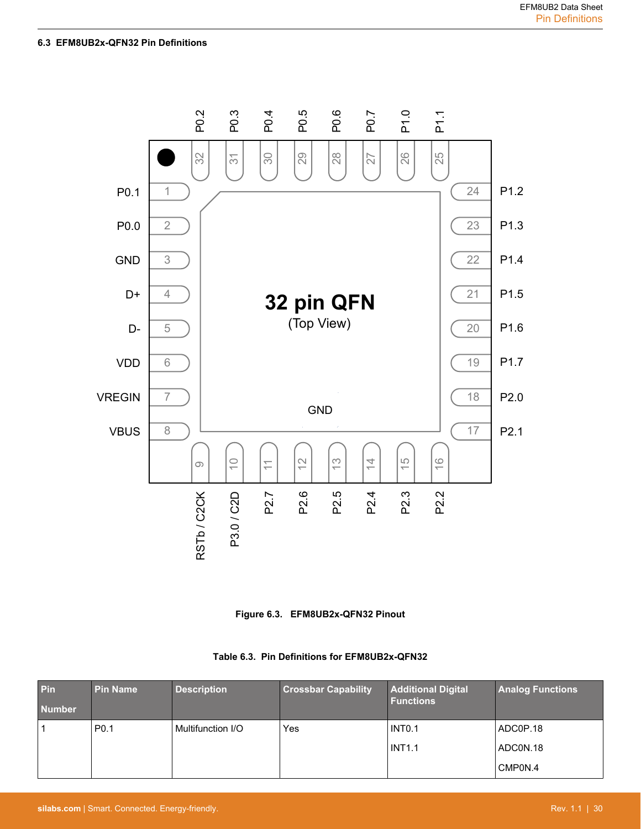<span id="page-30-0"></span>

**Figure 6.3. EFM8UB2x-QFN32 Pinout**

|  | Table 6.3. Pin Definitions for EFM8UB2x-QFN32 |  |  |
|--|-----------------------------------------------|--|--|
|--|-----------------------------------------------|--|--|

| Pin<br><b>Number</b> | <b>Pin Name</b>  | <b>Description</b> | <b>Crossbar Capability</b> | <b>Additional Digital</b><br><b>Functions</b> | <b>Analog Functions</b> |
|----------------------|------------------|--------------------|----------------------------|-----------------------------------------------|-------------------------|
|                      | P <sub>0.1</sub> | Multifunction I/O  | Yes                        | INTO.1                                        | ADC0P.18                |
|                      |                  |                    |                            | <b>INT1.1</b>                                 | ADCON.18                |
|                      |                  |                    |                            |                                               | CMP0N.4                 |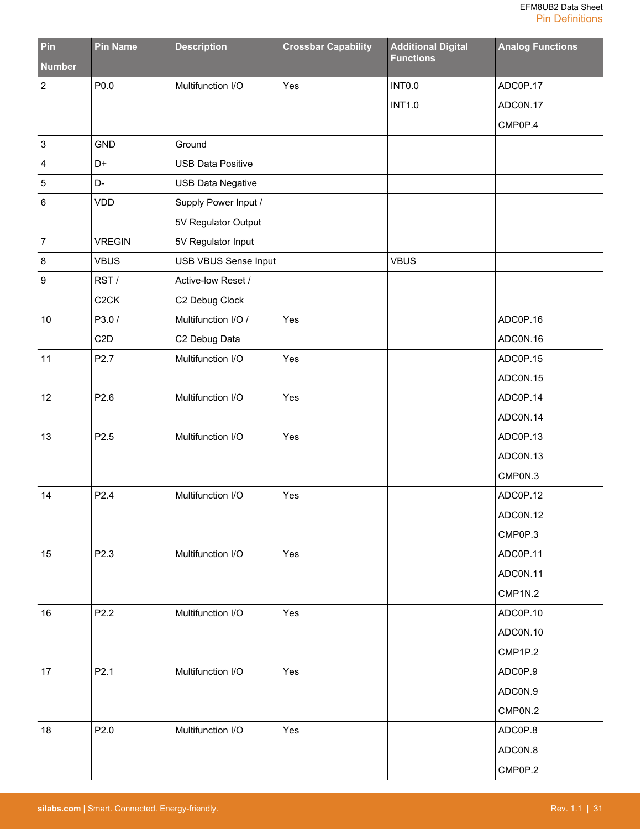| Pin                       | <b>Pin Name</b>   | <b>Description</b>          | <b>Crossbar Capability</b> | <b>Additional Digital</b><br><b>Functions</b> | <b>Analog Functions</b> |
|---------------------------|-------------------|-----------------------------|----------------------------|-----------------------------------------------|-------------------------|
| <b>Number</b>             |                   |                             |                            |                                               |                         |
| $\overline{\mathbf{c}}$   | P0.0              | Multifunction I/O           | Yes                        | <b>INTO.0</b>                                 | ADC0P.17                |
|                           |                   |                             |                            | <b>INT1.0</b>                                 | ADC0N.17                |
|                           |                   |                             |                            |                                               | CMP0P.4                 |
| $\ensuremath{\mathsf{3}}$ | <b>GND</b>        | Ground                      |                            |                                               |                         |
| 4                         | D+                | <b>USB Data Positive</b>    |                            |                                               |                         |
| 5                         | D-                | <b>USB Data Negative</b>    |                            |                                               |                         |
| 6                         | <b>VDD</b>        | Supply Power Input /        |                            |                                               |                         |
|                           |                   | 5V Regulator Output         |                            |                                               |                         |
| $\overline{7}$            | <b>VREGIN</b>     | 5V Regulator Input          |                            |                                               |                         |
| 8                         | <b>VBUS</b>       | <b>USB VBUS Sense Input</b> |                            | <b>VBUS</b>                                   |                         |
| 9                         | RST/              | Active-low Reset /          |                            |                                               |                         |
|                           | C <sub>2</sub> CK | C2 Debug Clock              |                            |                                               |                         |
| 10                        | P3.0/             | Multifunction I/O /         | Yes                        |                                               | ADC0P.16                |
|                           | C <sub>2</sub> D  | C2 Debug Data               |                            |                                               | ADCON.16                |
| 11                        | P2.7              | Multifunction I/O           | Yes                        |                                               | ADC0P.15                |
|                           |                   |                             |                            |                                               | ADCON.15                |
| 12                        | P2.6              | Multifunction I/O           | Yes                        |                                               | ADC0P.14                |
|                           |                   |                             |                            |                                               | ADCON.14                |
| 13                        | P2.5              | Multifunction I/O           | Yes                        |                                               | ADC0P.13                |
|                           |                   |                             |                            |                                               | ADCON.13                |
|                           |                   |                             |                            |                                               | CMP0N.3                 |
| 14                        | P2.4              | Multifunction I/O           | Yes                        |                                               | ADC0P.12                |
|                           |                   |                             |                            |                                               | ADCON.12                |
|                           |                   |                             |                            |                                               | CMP0P.3                 |
| 15                        | P2.3              | Multifunction I/O           | Yes                        |                                               | ADC0P.11                |
|                           |                   |                             |                            |                                               | ADC0N.11                |
|                           |                   |                             |                            |                                               | CMP1N.2                 |
| 16                        | P2.2              | Multifunction I/O           | Yes                        |                                               | ADC0P.10                |
|                           |                   |                             |                            |                                               | ADCON.10                |
|                           |                   |                             |                            |                                               | CMP1P.2                 |
| 17                        | P2.1              | Multifunction I/O           | Yes                        |                                               | ADC0P.9                 |
|                           |                   |                             |                            |                                               | ADC0N.9                 |
|                           |                   |                             |                            |                                               | CMP0N.2                 |
| 18                        | P2.0              | Multifunction I/O           | Yes                        |                                               | ADC0P.8                 |
|                           |                   |                             |                            |                                               | ADC0N.8                 |
|                           |                   |                             |                            |                                               | CMP0P.2                 |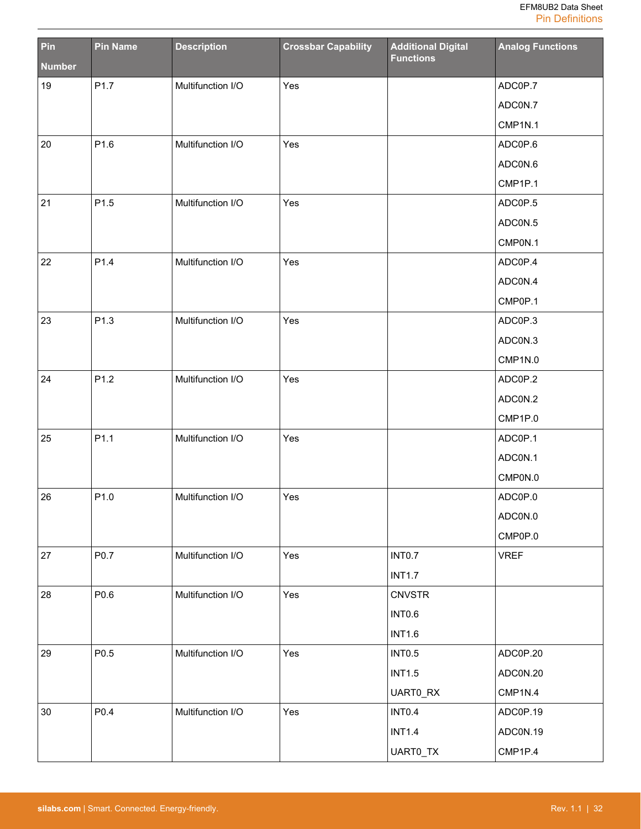| Pin           | <b>Pin Name</b> | <b>Description</b> | <b>Crossbar Capability</b> | <b>Additional Digital</b><br><b>Functions</b> | <b>Analog Functions</b> |
|---------------|-----------------|--------------------|----------------------------|-----------------------------------------------|-------------------------|
| <b>Number</b> |                 |                    |                            |                                               |                         |
| 19            | P1.7            | Multifunction I/O  | Yes                        |                                               | ADC0P.7                 |
|               |                 |                    |                            |                                               | ADC0N.7                 |
|               |                 |                    |                            |                                               | CMP1N.1                 |
| 20            | P1.6            | Multifunction I/O  | Yes                        |                                               | ADC0P.6                 |
|               |                 |                    |                            |                                               | ADC0N.6                 |
|               |                 |                    |                            |                                               | CMP1P.1                 |
| 21            | P1.5            | Multifunction I/O  | Yes                        |                                               | ADC0P.5                 |
|               |                 |                    |                            |                                               | ADC0N.5                 |
|               |                 |                    |                            |                                               | CMP0N.1                 |
| 22            | P1.4            | Multifunction I/O  | Yes                        |                                               | ADC0P.4                 |
|               |                 |                    |                            |                                               | ADC0N.4                 |
|               |                 |                    |                            |                                               | CMP0P.1                 |
| 23            | P1.3            | Multifunction I/O  | Yes                        |                                               | ADC0P.3                 |
|               |                 |                    |                            |                                               | ADC0N.3                 |
|               |                 |                    |                            |                                               | CMP1N.0                 |
| 24            | P1.2            | Multifunction I/O  | Yes                        |                                               | ADC0P.2                 |
|               |                 |                    |                            |                                               | ADC0N.2                 |
|               |                 |                    |                            |                                               | CMP1P.0                 |
| 25            | P1.1            | Multifunction I/O  | Yes                        |                                               | ADC0P.1                 |
|               |                 |                    |                            |                                               | ADCON.1                 |
|               |                 |                    |                            |                                               | CMP0N.0                 |
| 26            | P1.0            | Multifunction I/O  | Yes                        |                                               | ADC0P.0                 |
|               |                 |                    |                            |                                               | ADC0N.0                 |
|               |                 |                    |                            |                                               | CMP0P.0                 |
| 27            | P0.7            | Multifunction I/O  | Yes                        | INTO.7                                        | <b>VREF</b>             |
|               |                 |                    |                            | <b>INT1.7</b>                                 |                         |
| 28            | P0.6            | Multifunction I/O  | Yes                        | <b>CNVSTR</b>                                 |                         |
|               |                 |                    |                            | INTO.6                                        |                         |
|               |                 |                    |                            | <b>INT1.6</b>                                 |                         |
| 29            | P0.5            | Multifunction I/O  | Yes                        | <b>INTO.5</b>                                 | ADC0P.20                |
|               |                 |                    |                            | <b>INT1.5</b>                                 | ADC0N.20                |
|               |                 |                    |                            | UART0_RX                                      | CMP1N.4                 |
| 30            | P0.4            | Multifunction I/O  | Yes                        | INTO.4                                        | ADC0P.19                |
|               |                 |                    |                            | <b>INT1.4</b>                                 | ADC0N.19                |
|               |                 |                    |                            | UART0_TX                                      | CMP1P.4                 |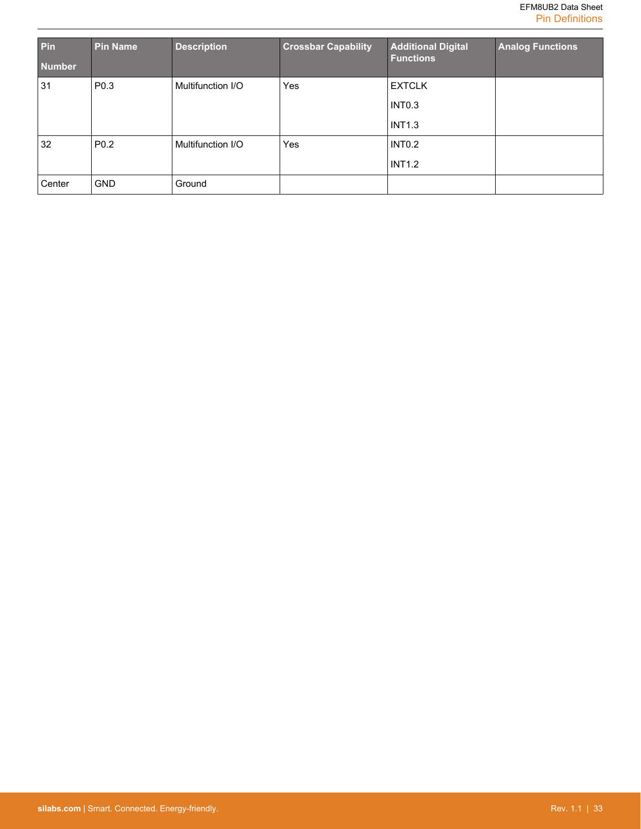| Pin<br><b>Number</b> | <b>Pin Name</b>  | <b>Description</b> | <b>Crossbar Capability</b> | <b>Additional Digital</b><br><b>Functions</b> | <b>Analog Functions</b> |
|----------------------|------------------|--------------------|----------------------------|-----------------------------------------------|-------------------------|
| 31                   | P <sub>0.3</sub> | Multifunction I/O  | <b>Yes</b>                 | <b>EXTCLK</b>                                 |                         |
|                      |                  |                    |                            | INTO.3                                        |                         |
|                      |                  |                    |                            | <b>INT1.3</b>                                 |                         |
| 32                   | P <sub>0.2</sub> | Multifunction I/O  | <b>Yes</b>                 | INTO.2                                        |                         |
|                      |                  |                    |                            | <b>INT1.2</b>                                 |                         |
| Center               | <b>GND</b>       | Ground             |                            |                                               |                         |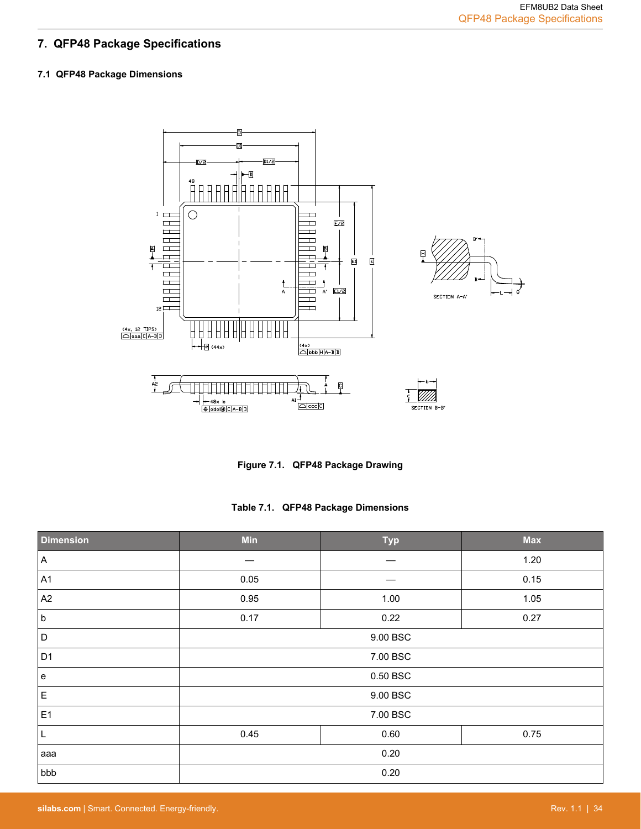# <span id="page-34-0"></span>**7. QFP48 Package Specifications**

# **7.1 QFP48 Package Dimensions**



**Figure 7.1. QFP48 Package Drawing**

**Table 7.1. QFP48 Package Dimensions**

| <b>Dimension</b> | <b>Min</b>           | <b>Typ</b> | <b>Max</b> |
|------------------|----------------------|------------|------------|
| A                |                      |            | 1.20       |
| A <sub>1</sub>   | 0.05                 |            | 0.15       |
| A <sub>2</sub>   | 0.95                 | 1.00       | 1.05       |
| <sub>b</sub>     | 0.17                 | 0.22       | 0.27       |
| D                | 9.00 BSC             |            |            |
| D <sub>1</sub>   | 7.00 BSC             |            |            |
| e                | 0.50 BSC             |            |            |
| $\mathsf E$      | 9.00 BSC             |            |            |
| E <sub>1</sub>   | 7.00 BSC             |            |            |
| L                | 0.45<br>0.60<br>0.75 |            |            |
| aaa              | 0.20                 |            |            |
| bbb              | 0.20                 |            |            |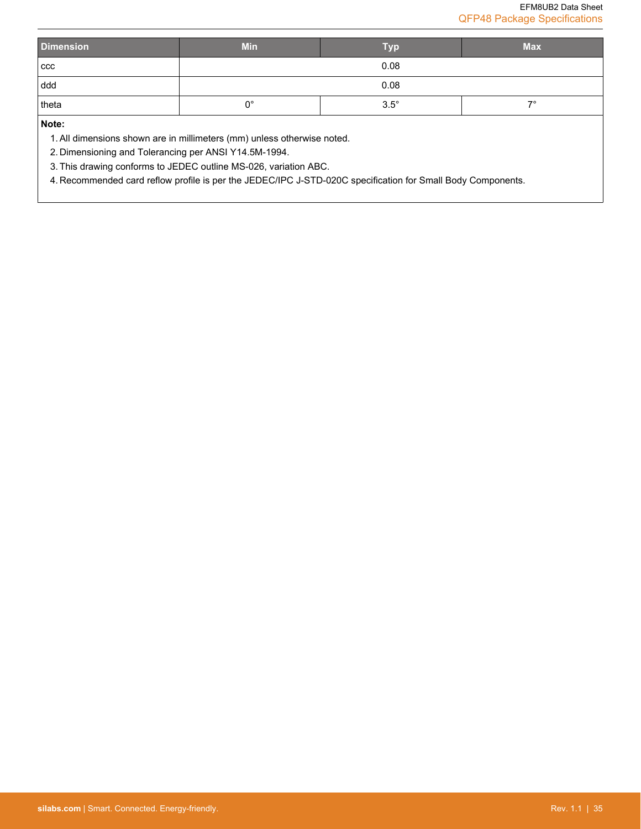| <b>Dimension</b> | <b>Min</b>                                    | <b>Typ</b> | <b>Max</b> |
|------------------|-----------------------------------------------|------------|------------|
| ccc              |                                               | 0.08       |            |
| ddd              | 0.08                                          |            |            |
| theta            | $3.5^\circ$<br>$\overline{\phantom{a}}$<br>0° |            |            |
|                  |                                               |            |            |

**Note:**

1. All dimensions shown are in millimeters (mm) unless otherwise noted.

2. Dimensioning and Tolerancing per ANSI Y14.5M-1994.

3. This drawing conforms to JEDEC outline MS-026, variation ABC.

4. Recommended card reflow profile is per the JEDEC/IPC J-STD-020C specification for Small Body Components.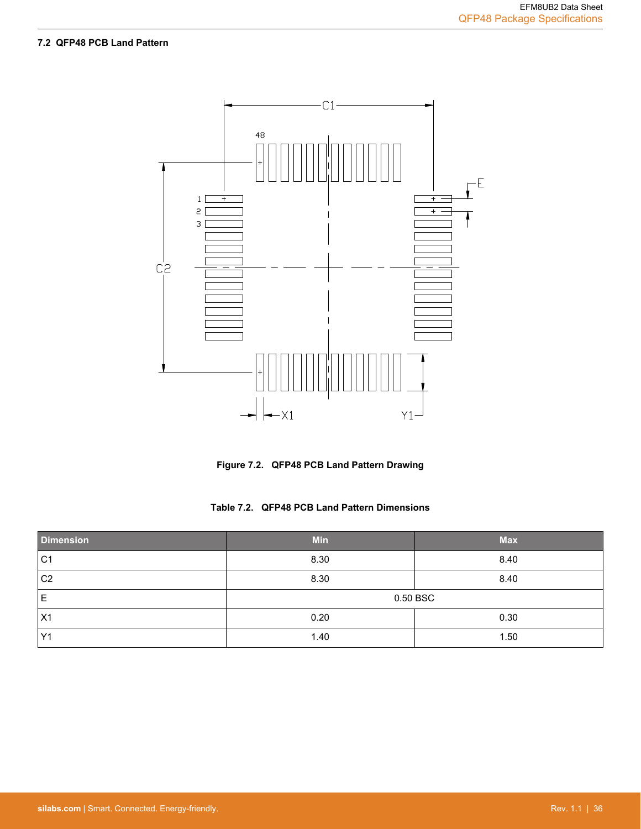# <span id="page-36-0"></span>**7.2 QFP48 PCB Land Pattern**



**Figure 7.2. QFP48 PCB Land Pattern Drawing**

|  | Table 7.2. QFP48 PCB Land Pattern Dimensions |
|--|----------------------------------------------|
|--|----------------------------------------------|

| <b>Dimension</b> | <b>Min</b> | <b>Max</b> |  |
|------------------|------------|------------|--|
| C <sub>1</sub>   | 8.30       | 8.40       |  |
| C <sub>2</sub>   | 8.30       | 8.40       |  |
| Е                | 0.50 BSC   |            |  |
| X1               | 0.20       | 0.30       |  |
| Y <sub>1</sub>   | 1.40       | 1.50       |  |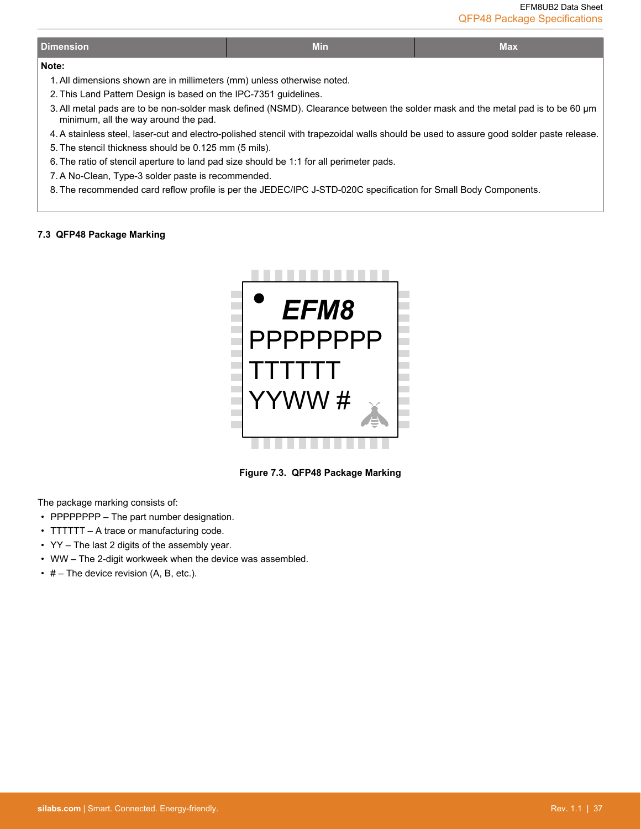## <span id="page-37-0"></span>**Note:**

- 1. All dimensions shown are in millimeters (mm) unless otherwise noted.
- 2. This Land Pattern Design is based on the IPC-7351 guidelines.
- 3. All metal pads are to be non-solder mask defined (NSMD). Clearance between the solder mask and the metal pad is to be 60 µm minimum, all the way around the pad.
- 4. A stainless steel, laser-cut and electro-polished stencil with trapezoidal walls should be used to assure good solder paste release. 5. The stencil thickness should be 0.125 mm (5 mils).
- 6. The ratio of stencil aperture to land pad size should be 1:1 for all perimeter pads.
- 7. A No-Clean, Type-3 solder paste is recommended.
- 8. The recommended card reflow profile is per the JEDEC/IPC J-STD-020C specification for Small Body Components.

#### **7.3 QFP48 Package Marking**



**Figure 7.3. QFP48 Package Marking**

The package marking consists of:

- PPPPPPPP The part number designation.
- TTTTTT A trace or manufacturing code.
- YY The last 2 digits of the assembly year.
- WW The 2-digit workweek when the device was assembled.
- $\cdot$  # The device revision (A, B, etc.).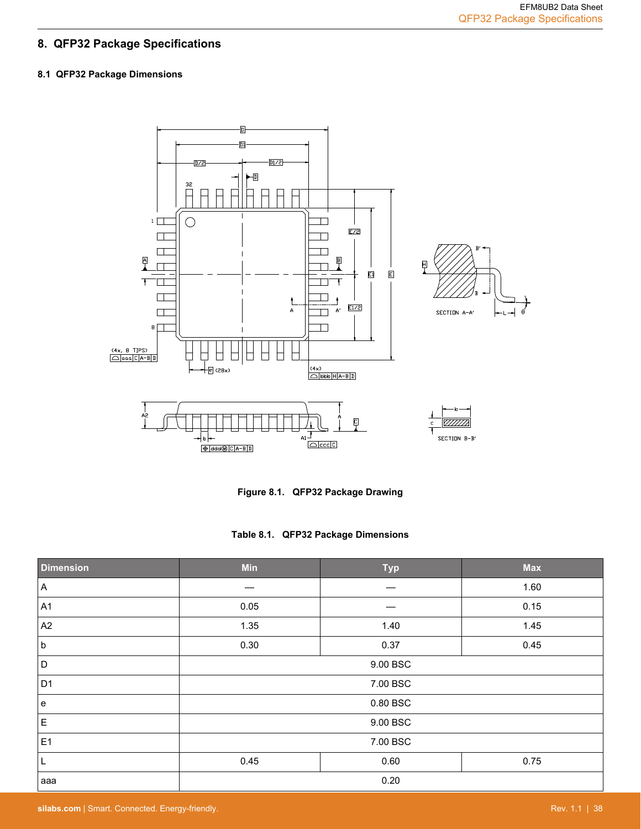# <span id="page-38-0"></span>**8. QFP32 Package Specifications**

# **8.1 QFP32 Package Dimensions**



**Figure 8.1. QFP32 Package Drawing**

|  |  |  | Table 8.1. QFP32 Package Dimensions |
|--|--|--|-------------------------------------|
|--|--|--|-------------------------------------|

| <b>Dimension</b> | <b>Min</b> | <b>Typ</b> | <b>Max</b> |
|------------------|------------|------------|------------|
| A                |            |            | 1.60       |
| A <sub>1</sub>   | 0.05       |            | 0.15       |
| A <sub>2</sub>   | 1.35       | 1.40       | 1.45       |
| <sub>b</sub>     | 0.30       | 0.37       | 0.45       |
| D                | 9.00 BSC   |            |            |
| D <sub>1</sub>   | 7.00 BSC   |            |            |
| e                | 0.80 BSC   |            |            |
| E                | 9.00 BSC   |            |            |
| E <sub>1</sub>   | 7.00 BSC   |            |            |
| L                | 0.45       | 0.60       | 0.75       |
| aaa              | 0.20       |            |            |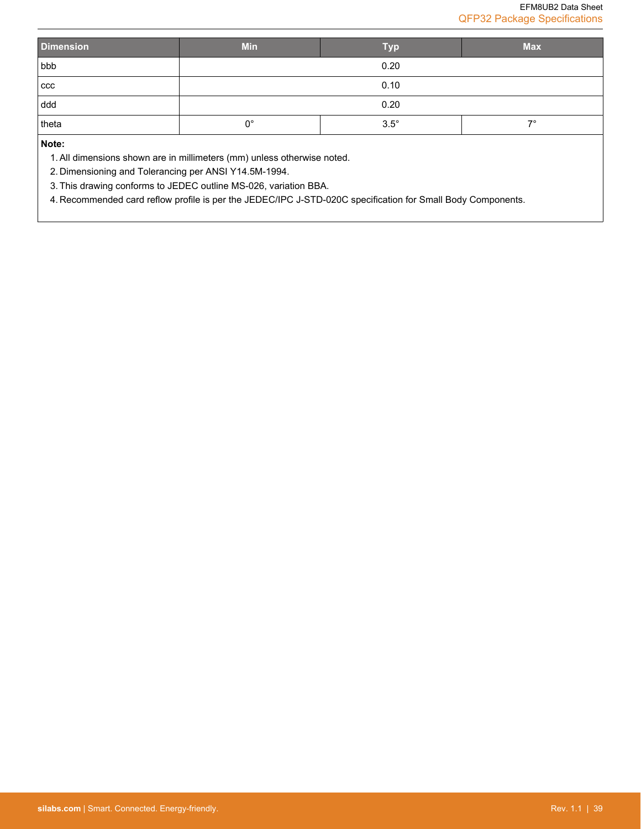| <b>Dimension</b> | <b>Min</b>  | <b>Typ</b>  | <b>Max</b> |
|------------------|-------------|-------------|------------|
| bbb              | 0.20        |             |            |
| ccc              | 0.10        |             |            |
| ddd              |             | 0.20        |            |
| theta            | $0^{\circ}$ | $3.5^\circ$ | $7^\circ$  |
| Note:            |             |             |            |

**Note:**

1. All dimensions shown are in millimeters (mm) unless otherwise noted.

2. Dimensioning and Tolerancing per ANSI Y14.5M-1994.

3. This drawing conforms to JEDEC outline MS-026, variation BBA.

4. Recommended card reflow profile is per the JEDEC/IPC J-STD-020C specification for Small Body Components.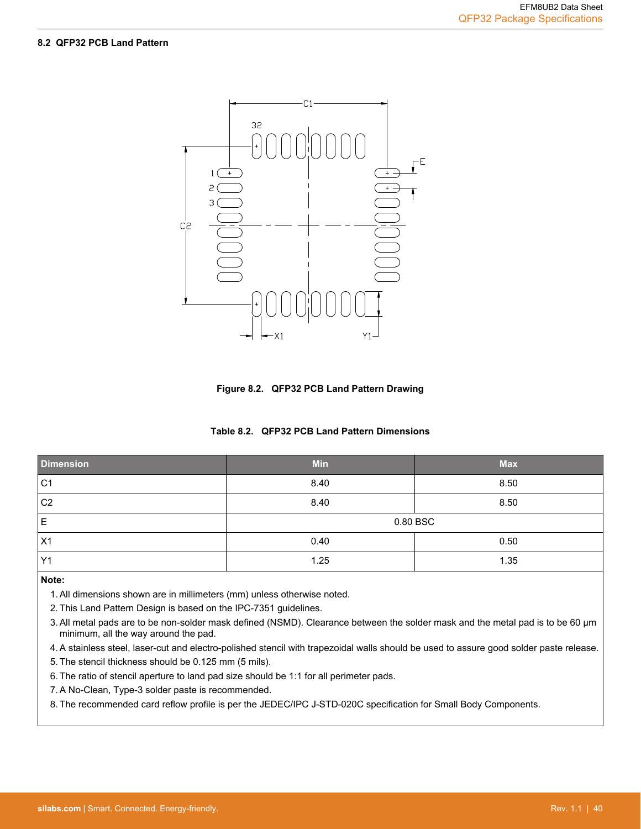#### <span id="page-40-0"></span>**8.2 QFP32 PCB Land Pattern**



**Figure 8.2. QFP32 PCB Land Pattern Drawing**

| <b>Dimension</b> | <b>Min</b> | <b>Max</b> |  |
|------------------|------------|------------|--|
| C <sub>1</sub>   | 8.40       | 8.50       |  |
| C <sub>2</sub>   | 8.40       | 8.50       |  |
| Е                | 0.80 BSC   |            |  |
| X1               | 0.40       | 0.50       |  |
| Y1               | 1.25       | 1.35       |  |

#### **Note:**

1. All dimensions shown are in millimeters (mm) unless otherwise noted.

2. This Land Pattern Design is based on the IPC-7351 guidelines.

3. All metal pads are to be non-solder mask defined (NSMD). Clearance between the solder mask and the metal pad is to be 60 µm minimum, all the way around the pad.

4. A stainless steel, laser-cut and electro-polished stencil with trapezoidal walls should be used to assure good solder paste release.

5. The stencil thickness should be 0.125 mm (5 mils).

6. The ratio of stencil aperture to land pad size should be 1:1 for all perimeter pads.

7. A No-Clean, Type-3 solder paste is recommended.

8. The recommended card reflow profile is per the JEDEC/IPC J-STD-020C specification for Small Body Components.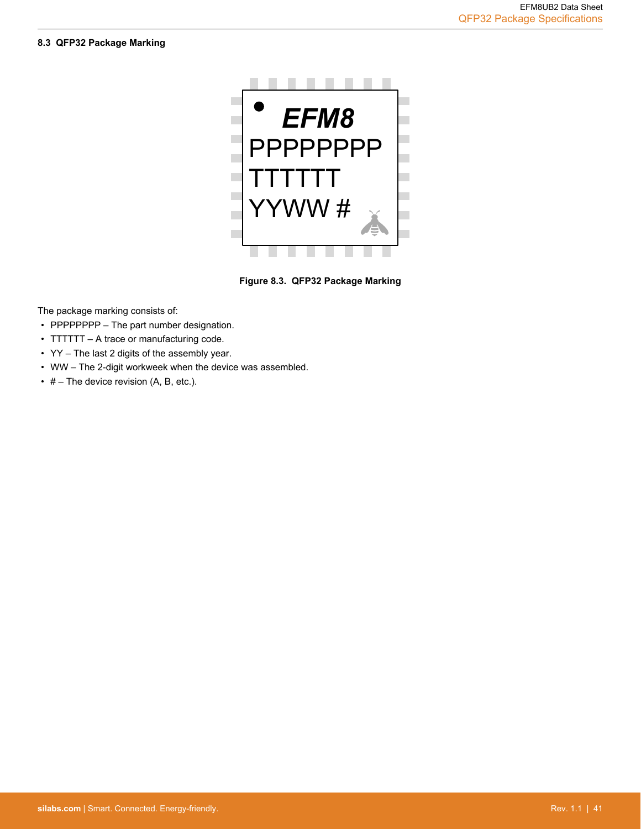#### <span id="page-41-0"></span>**8.3 QFP32 Package Marking**



**Figure 8.3. QFP32 Package Marking**

The package marking consists of:

- PPPPPPPP The part number designation.
- TTTTTT A trace or manufacturing code.
- YY The last 2 digits of the assembly year.
- WW The 2-digit workweek when the device was assembled.
- $\cdot$  # The device revision (A, B, etc.).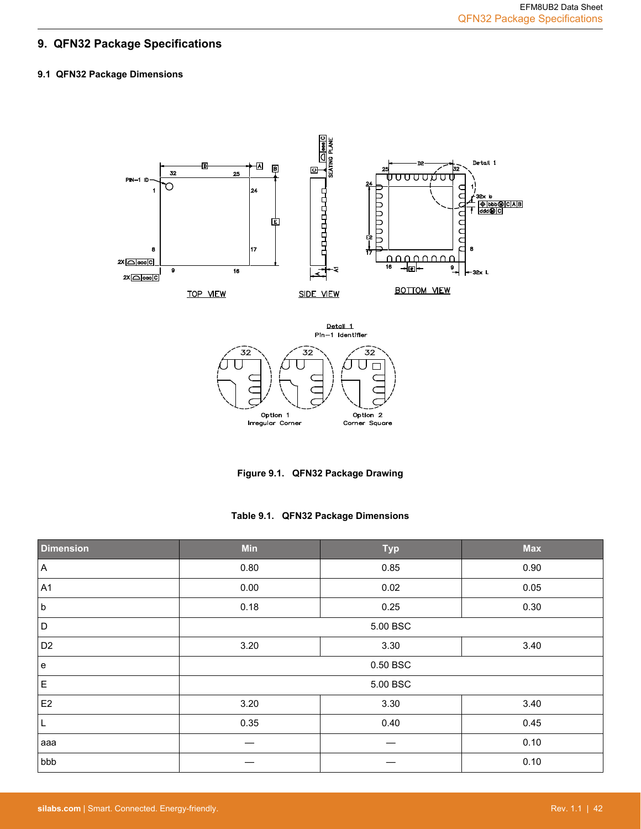# <span id="page-42-0"></span>**9. QFN32 Package Specifications**

# **9.1 QFN32 Package Dimensions**





**Table 9.1. QFN32 Package Dimensions**

| <b>Dimension</b>                  | Min      | <b>Typ</b> | <b>Max</b> |
|-----------------------------------|----------|------------|------------|
| $\vert$ A                         | 0.80     | 0.85       | 0.90       |
| A1                                | 0.00     | 0.02       | 0.05       |
| <sub>b</sub>                      | 0.18     | 0.25       | 0.30       |
| $\mathsf D$                       | 5.00 BSC |            |            |
| D <sub>2</sub>                    | 3.20     | 3.30       | 3.40       |
| $\mathbf{e}% _{t}\left( t\right)$ | 0.50 BSC |            |            |
| $\mathsf E$                       |          | 5.00 BSC   |            |
| E <sub>2</sub>                    | 3.20     | 3.30       | 3.40       |
| L                                 | 0.35     | 0.40       | 0.45       |
| aaa                               |          |            | 0.10       |
| bbb                               |          |            | 0.10       |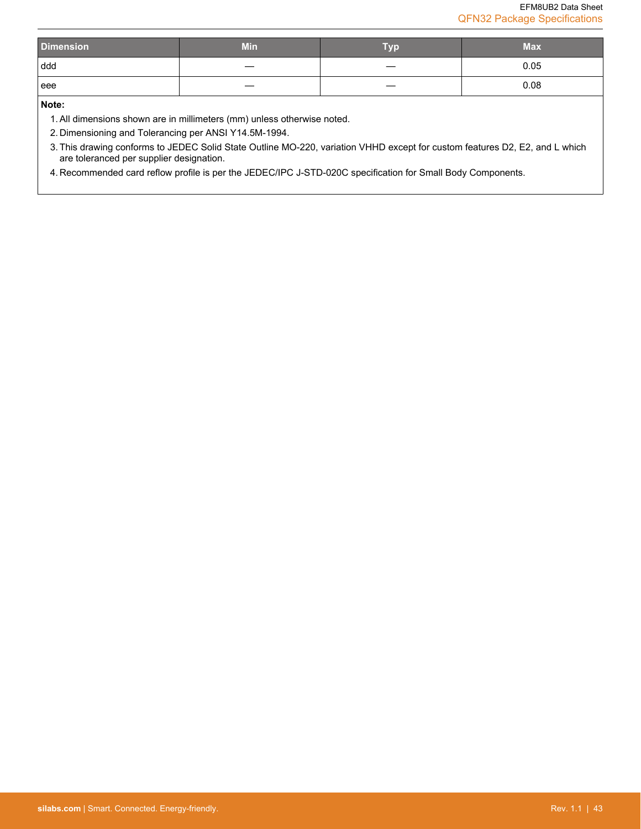| <b>Dimension</b> | <b>Min</b> | Tvn | <b>Max</b> |
|------------------|------------|-----|------------|
| ddd              |            |     | 0.05       |
| l eee            |            |     | 0.08       |

**Note:**

1. All dimensions shown are in millimeters (mm) unless otherwise noted.

2. Dimensioning and Tolerancing per ANSI Y14.5M-1994.

3. This drawing conforms to JEDEC Solid State Outline MO-220, variation VHHD except for custom features D2, E2, and L which are toleranced per supplier designation.

4. Recommended card reflow profile is per the JEDEC/IPC J-STD-020C specification for Small Body Components.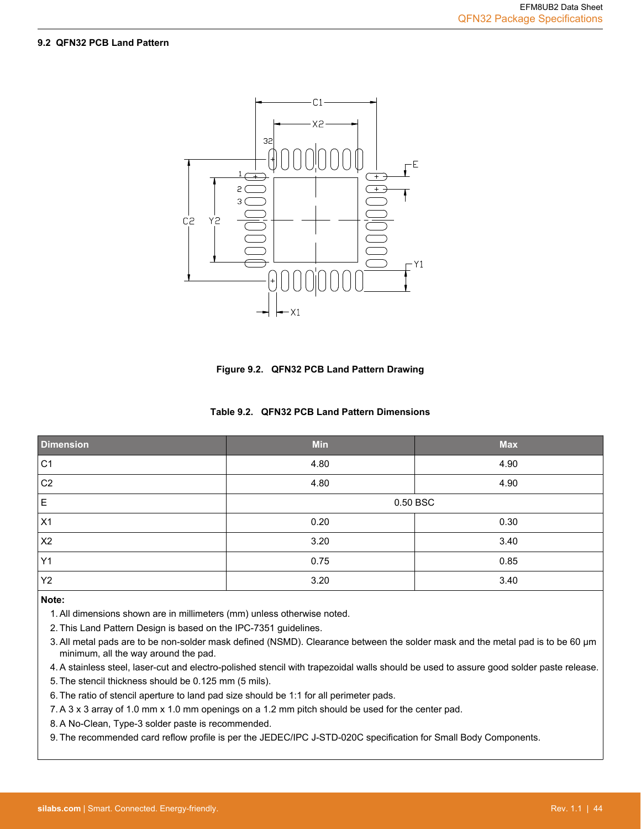#### <span id="page-44-0"></span>**9.2 QFN32 PCB Land Pattern**

![](_page_44_Figure_2.jpeg)

**Figure 9.2. QFN32 PCB Land Pattern Drawing**

|  |  | Table 9.2. QFN32 PCB Land Pattern Dimensions |  |
|--|--|----------------------------------------------|--|
|--|--|----------------------------------------------|--|

| <b>Dimension</b> | <b>Min</b> | <b>Max</b> |
|------------------|------------|------------|
| C <sub>1</sub>   | 4.80       | 4.90       |
| C <sub>2</sub>   | 4.80       | 4.90       |
| $\mathsf E$      |            | 0.50 BSC   |
| X1               | 0.20       | 0.30       |
| X2               | 3.20       | 3.40       |
| Y1               | 0.75       | 0.85       |
| Y2               | 3.20       | 3.40       |

#### **Note:**

- 1. All dimensions shown are in millimeters (mm) unless otherwise noted.
- 2. This Land Pattern Design is based on the IPC-7351 guidelines.
- 3. All metal pads are to be non-solder mask defined (NSMD). Clearance between the solder mask and the metal pad is to be 60 µm minimum, all the way around the pad.
- 4. A stainless steel, laser-cut and electro-polished stencil with trapezoidal walls should be used to assure good solder paste release.
- 5. The stencil thickness should be 0.125 mm (5 mils).
- 6. The ratio of stencil aperture to land pad size should be 1:1 for all perimeter pads.
- 7. A 3 x 3 array of 1.0 mm x 1.0 mm openings on a 1.2 mm pitch should be used for the center pad.
- 8. A No-Clean, Type-3 solder paste is recommended.

9. The recommended card reflow profile is per the JEDEC/IPC J-STD-020C specification for Small Body Components.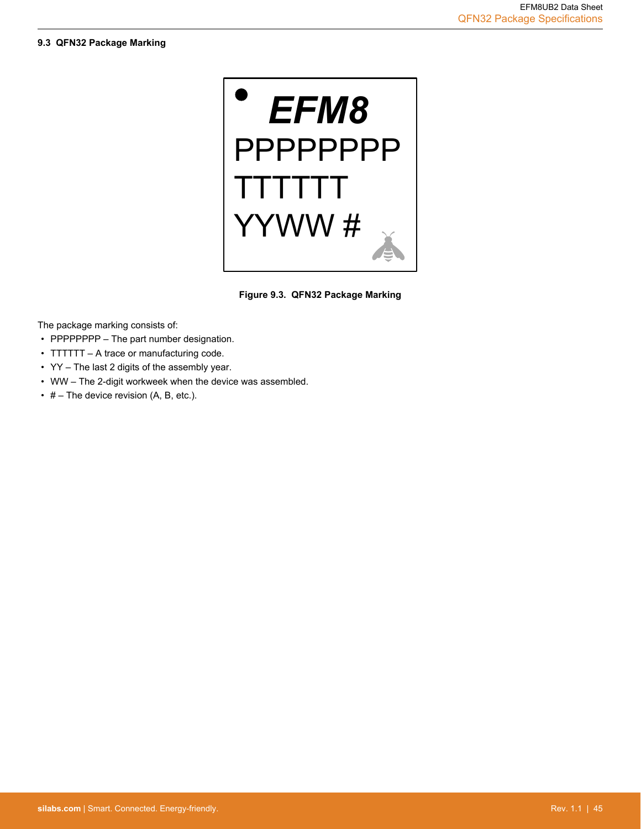<span id="page-45-0"></span>![](_page_45_Picture_2.jpeg)

**Figure 9.3. QFN32 Package Marking**

The package marking consists of:

- PPPPPPPP The part number designation.
- TTTTTT A trace or manufacturing code.
- YY The last 2 digits of the assembly year.
- WW The 2-digit workweek when the device was assembled.
- $\cdot$  # The device revision (A, B, etc.).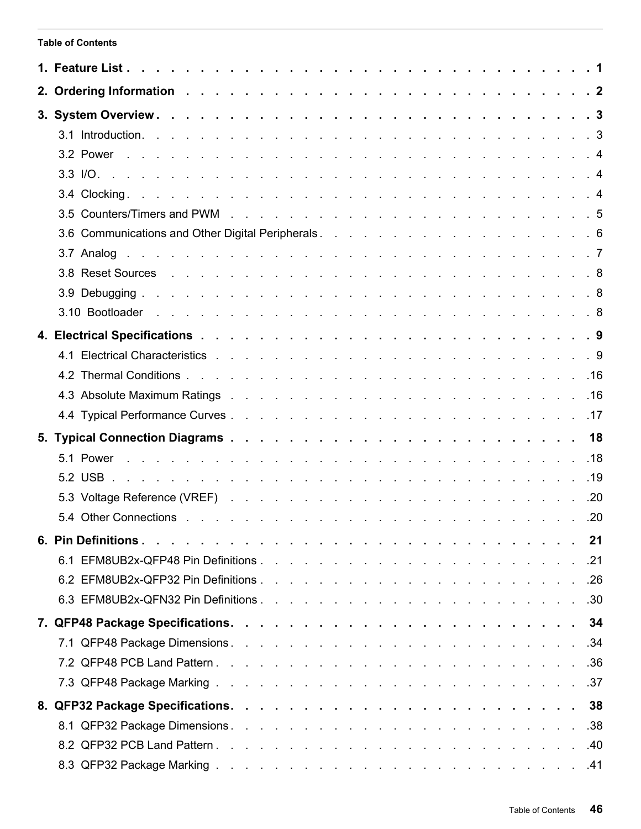# <span id="page-46-0"></span>**Table of Contents**